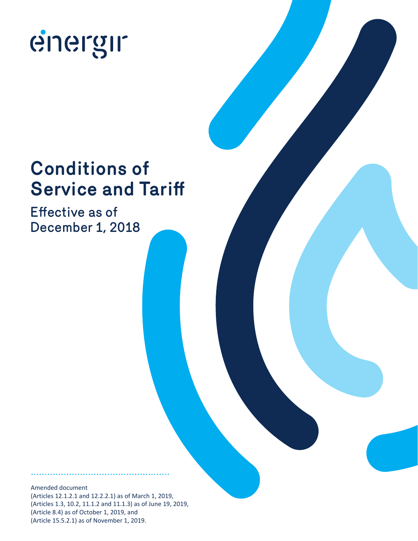

# **Conditions of Service and Tariff**

Effective as of December 1, 2018

Amended document (Articles 12.1.2.1 and 12.2.2.1) as of March 1, 2019, (Articles 1.3, 10.2, 11.1.2 and 11.1.3) as of June 19, 2019, (Article 8.4) as of October 1, 2019, and (Article 15.5.2.1) as of November 1, 2019.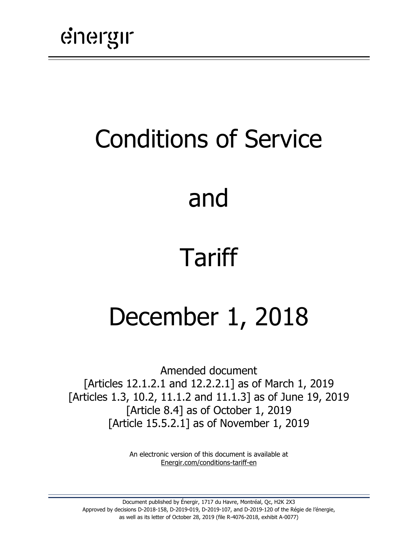# Conditions of Service

# and

# Tariff

# December 1, 2018

Amended document [Articles 12.1.2.1 and 12.2.2.1] as of March 1, 2019 [Articles 1.3, 10.2, 11.1.2 and 11.1.3] as of June 19, 2019 [Article 8.4] as of October 1, 2019 [Article 15.5.2.1] as of November 1, 2019

> An electronic version of this document is available at [Energir.com/conditions-tariff-en](https://www.energir.com/en/residential/customer-centre/billing-and-pricing/pricing/)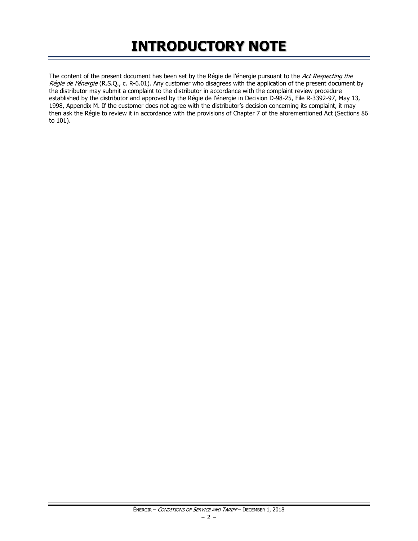# **INTRODUCTORY NOTE**

The content of the present document has been set by the Régie de l'énergie pursuant to the Act Respecting the Régie de l'énergie (R.S.Q., c. R-6.01). Any customer who disagrees with the application of the present document by the distributor may submit a complaint to the distributor in accordance with the complaint review procedure established by the distributor and approved by the Régie de l'énergie in Decision D-98-25, File R-3392-97, May 13, 1998, Appendix M. If the customer does not agree with the distributor's decision concerning its complaint, it may then ask the Régie to review it in accordance with the provisions of Chapter 7 of the aforementioned Act (Sections 86 to 101).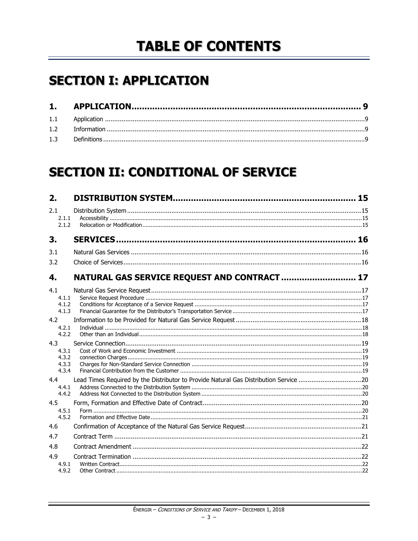# **TABLE OF CONTENTS**

# **SECTION I: APPLICATION**

# **SECTION II: CONDITIONAL OF SERVICE**

| 2.                                      |                                                                                       |  |
|-----------------------------------------|---------------------------------------------------------------------------------------|--|
| 2.1<br>2.1.1<br>2.1.2                   |                                                                                       |  |
| 3.                                      |                                                                                       |  |
| 3.1<br>3.2                              |                                                                                       |  |
| 4.                                      | NATURAL GAS SERVICE REQUEST AND CONTRACT  17                                          |  |
| 4.1<br>4.1.1<br>4.1.2<br>4.1.3          |                                                                                       |  |
| 4.2<br>4.2.1<br>4.2.2                   |                                                                                       |  |
| 4.3<br>4.3.1<br>4.3.2<br>4.3.3<br>4.3.4 |                                                                                       |  |
| 4.4<br>4.4.1<br>4.4.2                   | Lead Times Required by the Distributor to Provide Natural Gas Distribution Service 20 |  |
| 4.5<br>4.5.1<br>4.5.2                   |                                                                                       |  |
| 4.6                                     |                                                                                       |  |
| 4.7                                     |                                                                                       |  |
| 4.8                                     |                                                                                       |  |
| 4.9<br>4.9.1<br>4.9.2                   |                                                                                       |  |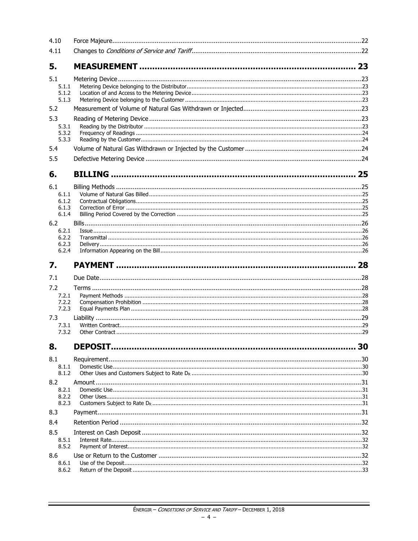| 4.10                           |    |
|--------------------------------|----|
| 4.11                           |    |
| 5.                             |    |
| 5.1<br>5.1.1<br>5.1.2<br>5.1.3 |    |
| 5.2                            |    |
| 5.3                            |    |
| 5.3.1<br>5.3.2<br>5.3.3        |    |
| 5.4                            |    |
| 5.5                            |    |
| 6.                             |    |
| 6.1                            |    |
| 6.1.1                          |    |
| 6.1.2<br>6.1.3                 |    |
| 6.1.4                          |    |
| 6.2                            |    |
| 6.2.1                          |    |
| 6.2.2                          |    |
| 6.2.3<br>6.2.4                 |    |
|                                |    |
|                                |    |
| 7.                             |    |
| 7.1                            |    |
| 7.2                            |    |
| 7.2.1                          |    |
| 7.2.2<br>7.2.3                 |    |
|                                |    |
| 7.3<br>7.3.1                   |    |
| 7.3.2                          |    |
| 8.                             | 30 |
|                                |    |
| 8.1<br>8.1.1                   |    |
| 8.1.2                          |    |
| 8.2                            |    |
| 8.2.1                          |    |
| 8.2.2                          |    |
| 8.2.3                          |    |
| 8.3                            |    |
| 8.4                            |    |
| 8.5                            |    |
| 8.5.1                          |    |
| 8.5.2                          |    |
| 8.6                            |    |
| 8.6.1<br>8.6.2                 |    |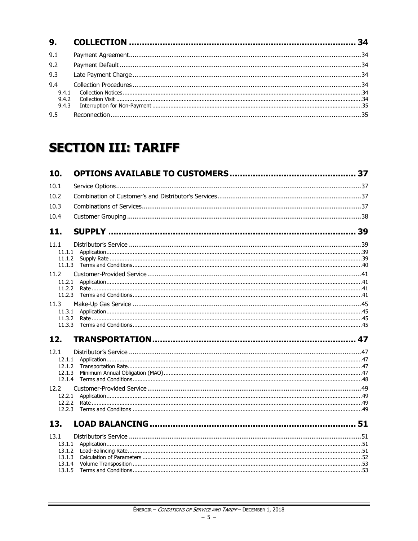| 9.1                   |  |
|-----------------------|--|
| 9.2                   |  |
| 9.3                   |  |
| 9.4<br>9.4.1<br>9.4.2 |  |
| 9.4.3<br>9.5          |  |

# **SECTION III: TARIFF**

| 10.              |  |
|------------------|--|
| 10.1             |  |
| 10.2             |  |
| 10.3             |  |
| 10.4             |  |
| 11.              |  |
| 11.1             |  |
|                  |  |
| 11.1.2           |  |
| 11.1.3           |  |
| 11.2<br>11.2.1   |  |
| 11.2.2           |  |
| 11.2.3           |  |
| 11.3             |  |
| 11.3.1           |  |
| 11.3.2<br>11.3.3 |  |
| 12.              |  |
| 12.1             |  |
| 12.1.1           |  |
| 12.1.2           |  |
| 12.1.3<br>12.1.4 |  |
| 12.2             |  |
| 12.2.1           |  |
| 12.2.2           |  |
| 12.2.3           |  |
| 13.              |  |
| 13.1             |  |
| 13.1.1           |  |
| 13.1.2<br>13.1.3 |  |
| 13.1.4           |  |
| 13.1.5           |  |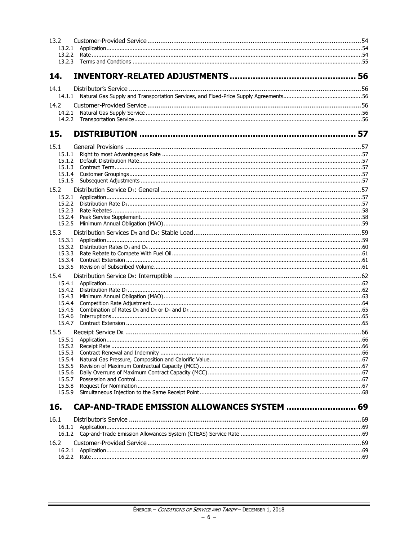| 13.2             |                                              |  |
|------------------|----------------------------------------------|--|
|                  |                                              |  |
|                  |                                              |  |
|                  |                                              |  |
|                  |                                              |  |
| 14.              |                                              |  |
| 14.1             |                                              |  |
|                  |                                              |  |
|                  |                                              |  |
| 14.2             |                                              |  |
| 14.2.1           |                                              |  |
|                  |                                              |  |
| 15.              |                                              |  |
|                  |                                              |  |
| 15.1             |                                              |  |
| 15.1.1           |                                              |  |
| 15.1.2           |                                              |  |
| 15.1.3           |                                              |  |
| 15.1.4<br>15.1.5 |                                              |  |
|                  |                                              |  |
| 15.2             |                                              |  |
| 15.2.1           |                                              |  |
| 15.2.2<br>15.2.3 |                                              |  |
| 15.2.4           |                                              |  |
| 15.2.5           |                                              |  |
| 15.3             |                                              |  |
| 15.3.1           |                                              |  |
| 15.3.2           |                                              |  |
| 15.3.3           |                                              |  |
| 15.3.4           |                                              |  |
| 15.3.5           |                                              |  |
| 15.4             |                                              |  |
| 15.4.1           |                                              |  |
| 15.4.2           |                                              |  |
| 15.4.3           |                                              |  |
| 15.4.4           |                                              |  |
| 15.4.5           |                                              |  |
| 15.4.6           |                                              |  |
| 15.4.7           |                                              |  |
| 15.5             |                                              |  |
|                  |                                              |  |
| 15.5.2           |                                              |  |
| 15.5.3<br>15.5.4 |                                              |  |
| 15.5.5           |                                              |  |
| 15.5.6           |                                              |  |
| 15.5.7           |                                              |  |
| 15.5.8           |                                              |  |
| 15.5.9           |                                              |  |
|                  |                                              |  |
| 16.              | CAP-AND-TRADE EMISSION ALLOWANCES SYSTEM  69 |  |
| 16.1             |                                              |  |
|                  |                                              |  |
| 16.1.2           |                                              |  |
|                  |                                              |  |
| 16.2             |                                              |  |
| 16.2.1           |                                              |  |
|                  |                                              |  |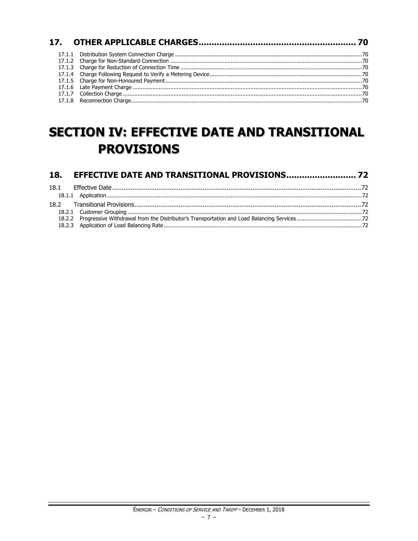# **SECTION IV: EFFECTIVE DATE AND TRANSITIONAL PROVISIONS**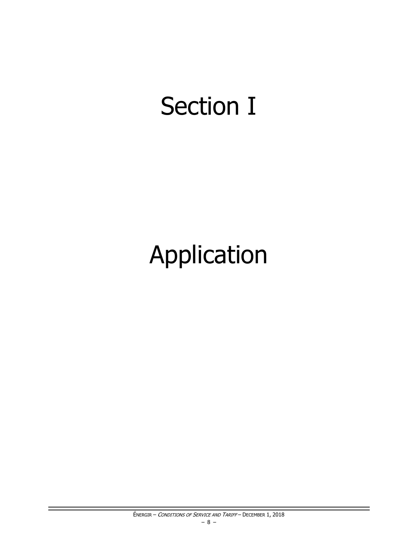# **Section I**

# Application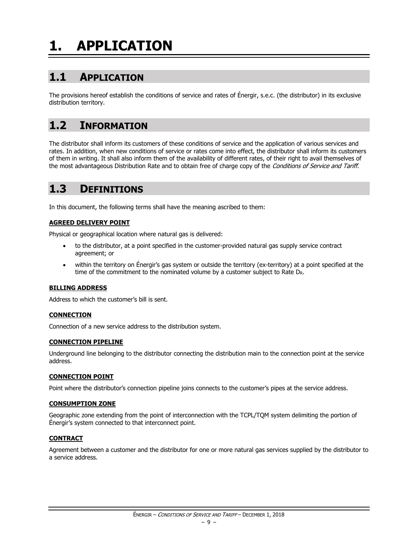# <span id="page-10-0"></span>**1. APPLICATION**

# <span id="page-10-1"></span>**1.1 APPLICATION**

The provisions hereof establish the conditions of service and rates of Énergir, s.e.c. (the distributor) in its exclusive distribution territory.

# <span id="page-10-2"></span>**1.2 INFORMATION**

The distributor shall inform its customers of these conditions of service and the application of various services and rates. In addition, when new conditions of service or rates come into effect, the distributor shall inform its customers of them in writing. It shall also inform them of the availability of different rates, of their right to avail themselves of the most advantageous Distribution Rate and to obtain free of charge copy of the Conditions of Service and Tariff.

# <span id="page-10-3"></span>**1.3 DEFINITIONS**

In this document, the following terms shall have the meaning ascribed to them:

#### **AGREED DELIVERY POINT**

Physical or geographical location where natural gas is delivered:

- to the distributor, at a point specified in the customer-provided natural gas supply service contract agreement; or
- within the territory on Énergir's gas system or outside the territory (ex-territory) at a point specified at the time of the commitment to the nominated volume by a customer subject to Rate  $D<sub>R</sub>$ .

#### **BILLING ADDRESS**

Address to which the customer's bill is sent.

#### **CONNECTION**

Connection of a new service address to the distribution system.

#### **CONNECTION PIPELINE**

Underground line belonging to the distributor connecting the distribution main to the connection point at the service address.

#### **CONNECTION POINT**

Point where the distributor's connection pipeline joins connects to the customer's pipes at the service address.

#### **CONSUMPTION ZONE**

Geographic zone extending from the point of interconnection with the TCPL/TQM system delimiting the portion of Énergir's system connected to that interconnect point.

#### **CONTRACT**

Agreement between a customer and the distributor for one or more natural gas services supplied by the distributor to a service address.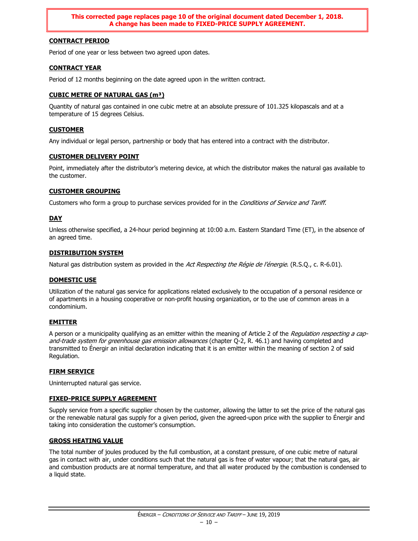**This corrected page replaces page 10 of the original document dated December 1, 2018. A change has been made to FIXED-PRICE SUPPLY AGREEMENT.**

#### **CONTRACT PERIOD**

Period of one year or less between two agreed upon dates.

#### **CONTRACT YEAR**

Period of 12 months beginning on the date agreed upon in the written contract.

#### **CUBIC METRE OF NATURAL GAS (m³)**

Quantity of natural gas contained in one cubic metre at an absolute pressure of 101.325 kilopascals and at a temperature of 15 degrees Celsius.

#### **CUSTOMER**

Any individual or legal person, partnership or body that has entered into a contract with the distributor.

#### **CUSTOMER DELIVERY POINT**

Point, immediately after the distributor's metering device, at which the distributor makes the natural gas available to the customer.

#### **CUSTOMER GROUPING**

Customers who form a group to purchase services provided for in the Conditions of Service and Tariff.

#### **DAY**

Unless otherwise specified, a 24-hour period beginning at 10:00 a.m. Eastern Standard Time (ET), in the absence of an agreed time.

#### **DISTRIBUTION SYSTEM**

Natural gas distribution system as provided in the Act Respecting the Régie de l'énergie. (R.S.Q., c. R-6.01).

#### **DOMESTIC USE**

Utilization of the natural gas service for applications related exclusively to the occupation of a personal residence or of apartments in a housing cooperative or non-profit housing organization, or to the use of common areas in a condominium.

#### **EMITTER**

A person or a municipality qualifying as an emitter within the meaning of Article 2 of the Regulation respecting a capand-trade system for greenhouse gas emission allowances (chapter Q-2, R. 46.1) and having completed and transmitted to Énergir an initial declaration indicating that it is an emitter within the meaning of section 2 of said Regulation.

#### **FIRM SERVICE**

Uninterrupted natural gas service.

#### **FIXED-PRICE SUPPLY AGREEMENT**

Supply service from a specific supplier chosen by the customer, allowing the latter to set the price of the natural gas or the renewable natural gas supply for a given period, given the agreed-upon price with the supplier to Énergir and taking into consideration the customer's consumption.

#### **GROSS HEATING VALUE**

The total number of joules produced by the full combustion, at a constant pressure, of one cubic metre of natural gas in contact with air, under conditions such that the natural gas is free of water vapour; that the natural gas, air and combustion products are at normal temperature, and that all water produced by the combustion is condensed to a liquid state.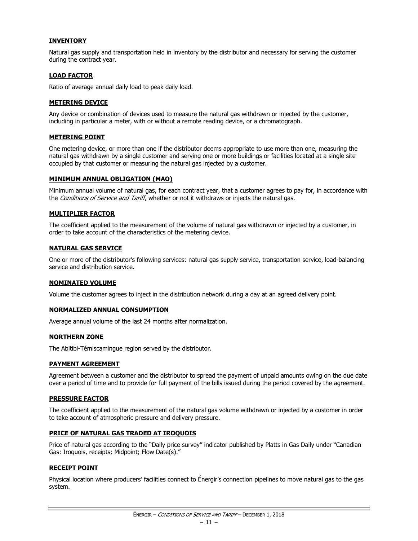#### **INVENTORY**

Natural gas supply and transportation held in inventory by the distributor and necessary for serving the customer during the contract year.

#### **LOAD FACTOR**

Ratio of average annual daily load to peak daily load.

#### **METERING DEVICE**

Any device or combination of devices used to measure the natural gas withdrawn or injected by the customer, including in particular a meter, with or without a remote reading device, or a chromatograph.

#### **METERING POINT**

One metering device, or more than one if the distributor deems appropriate to use more than one, measuring the natural gas withdrawn by a single customer and serving one or more buildings or facilities located at a single site occupied by that customer or measuring the natural gas injected by a customer.

#### **MINIMUM ANNUAL OBLIGATION (MAO)**

Minimum annual volume of natural gas, for each contract year, that a customer agrees to pay for, in accordance with the Conditions of Service and Tariff, whether or not it withdraws or injects the natural gas.

#### **MULTIPLIER FACTOR**

The coefficient applied to the measurement of the volume of natural gas withdrawn or injected by a customer, in order to take account of the characteristics of the metering device.

#### **NATURAL GAS SERVICE**

One or more of the distributor's following services: natural gas supply service, transportation service, load-balancing service and distribution service.

#### **NOMINATED VOLUME**

Volume the customer agrees to inject in the distribution network during a day at an agreed delivery point.

#### **NORMALIZED ANNUAL CONSUMPTION**

Average annual volume of the last 24 months after normalization.

#### **NORTHERN ZONE**

The Abitibi-Témiscamingue region served by the distributor.

#### **PAYMENT AGREEMENT**

Agreement between a customer and the distributor to spread the payment of unpaid amounts owing on the due date over a period of time and to provide for full payment of the bills issued during the period covered by the agreement.

#### **PRESSURE FACTOR**

The coefficient applied to the measurement of the natural gas volume withdrawn or injected by a customer in order to take account of atmospheric pressure and delivery pressure.

#### **PRICE OF NATURAL GAS TRADED AT IROQUOIS**

Price of natural gas according to the "Daily price survey" indicator published by Platts in Gas Daily under "Canadian Gas: Iroquois, receipts; Midpoint; Flow Date(s)."

#### **RECEIPT POINT**

Physical location where producers' facilities connect to Énergir's connection pipelines to move natural gas to the gas system.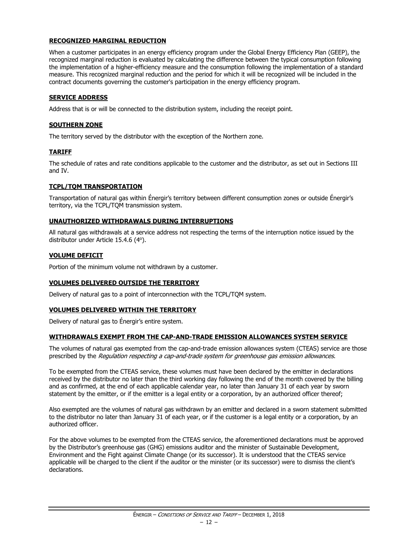#### **RECOGNIZED MARGINAL REDUCTION**

When a customer participates in an energy efficiency program under the Global Energy Efficiency Plan (GEEP), the recognized marginal reduction is evaluated by calculating the difference between the typical consumption following the implementation of a higher-efficiency measure and the consumption following the implementation of a standard measure. This recognized marginal reduction and the period for which it will be recognized will be included in the contract documents governing the customer's participation in the energy efficiency program.

#### **SERVICE ADDRESS**

Address that is or will be connected to the distribution system, including the receipt point.

#### **SOUTHERN ZONE**

The territory served by the distributor with the exception of the Northern zone.

#### **TARIFF**

The schedule of rates and rate conditions applicable to the customer and the distributor, as set out in Sections III and IV.

#### **TCPL/TQM TRANSPORTATION**

Transportation of natural gas within Énergir's territory between different consumption zones or outside Énergir's territory, via the TCPL/TQM transmission system.

#### **UNAUTHORIZED WITHDRAWALS DURING INTERRUPTIONS**

All natural gas withdrawals at a service address not respecting the terms of the interruption notice issued by the distributor under Article 15.4.6 (4°).

#### **VOLUME DEFICIT**

Portion of the minimum volume not withdrawn by a customer.

#### **VOLUMES DELIVERED OUTSIDE THE TERRITORY**

Delivery of natural gas to a point of interconnection with the TCPL/TQM system.

#### **VOLUMES DELIVERED WITHIN THE TERRITORY**

Delivery of natural gas to Énergir's entire system.

#### **WITHDRAWALS EXEMPT FROM THE CAP-AND-TRADE EMISSION ALLOWANCES SYSTEM SERVICE**

The volumes of natural gas exempted from the cap-and-trade emission allowances system (CTEAS) service are those prescribed by the Regulation respecting a cap-and-trade system for greenhouse gas emission allowances.

To be exempted from the CTEAS service, these volumes must have been declared by the emitter in declarations received by the distributor no later than the third working day following the end of the month covered by the billing and as confirmed, at the end of each applicable calendar year, no later than January 31 of each year by sworn statement by the emitter, or if the emitter is a legal entity or a corporation, by an authorized officer thereof;

Also exempted are the volumes of natural gas withdrawn by an emitter and declared in a sworn statement submitted to the distributor no later than January 31 of each year, or if the customer is a legal entity or a corporation, by an authorized officer.

For the above volumes to be exempted from the CTEAS service, the aforementioned declarations must be approved by the Distributor's greenhouse gas (GHG) emissions auditor and the minister of Sustainable Development, Environment and the Fight against Climate Change (or its successor). It is understood that the CTEAS service applicable will be charged to the client if the auditor or the minister (or its successor) were to dismiss the client's declarations.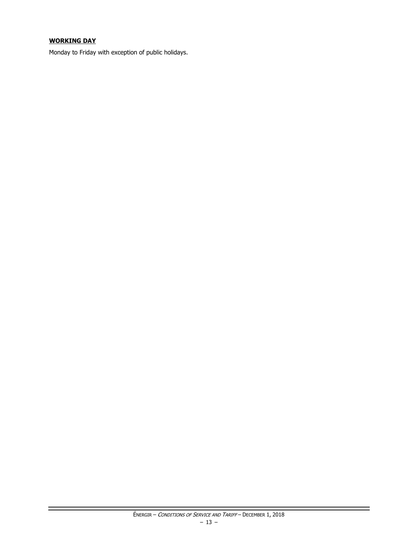#### **WORKING DAY**

Monday to Friday with exception of public holidays.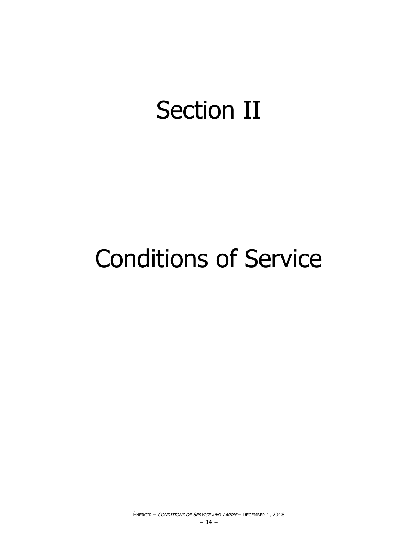# **Section II**

# **Conditions of Service**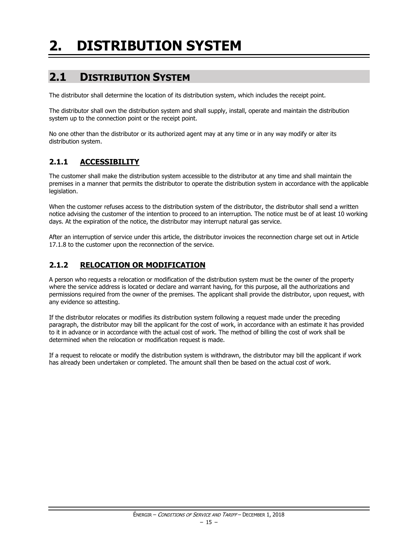# <span id="page-16-0"></span>**2. DISTRIBUTION SYSTEM**

# <span id="page-16-1"></span>**2.1 DISTRIBUTION SYSTEM**

The distributor shall determine the location of its distribution system, which includes the receipt point.

The distributor shall own the distribution system and shall supply, install, operate and maintain the distribution system up to the connection point or the receipt point.

No one other than the distributor or its authorized agent may at any time or in any way modify or alter its distribution system.

#### <span id="page-16-2"></span>**2.1.1 ACCESSIBILITY**

The customer shall make the distribution system accessible to the distributor at any time and shall maintain the premises in a manner that permits the distributor to operate the distribution system in accordance with the applicable legislation.

When the customer refuses access to the distribution system of the distributor, the distributor shall send a written notice advising the customer of the intention to proceed to an interruption. The notice must be of at least 10 working days. At the expiration of the notice, the distributor may interrupt natural gas service.

After an interruption of service under this article, the distributor invoices the reconnection charge set out in Article 17.1.8 to the customer upon the reconnection of the service.

#### <span id="page-16-3"></span>**2.1.2 RELOCATION OR MODIFICATION**

A person who requests a relocation or modification of the distribution system must be the owner of the property where the service address is located or declare and warrant having, for this purpose, all the authorizations and permissions required from the owner of the premises. The applicant shall provide the distributor, upon request, with any evidence so attesting.

If the distributor relocates or modifies its distribution system following a request made under the preceding paragraph, the distributor may bill the applicant for the cost of work, in accordance with an estimate it has provided to it in advance or in accordance with the actual cost of work. The method of billing the cost of work shall be determined when the relocation or modification request is made.

If a request to relocate or modify the distribution system is withdrawn, the distributor may bill the applicant if work has already been undertaken or completed. The amount shall then be based on the actual cost of work.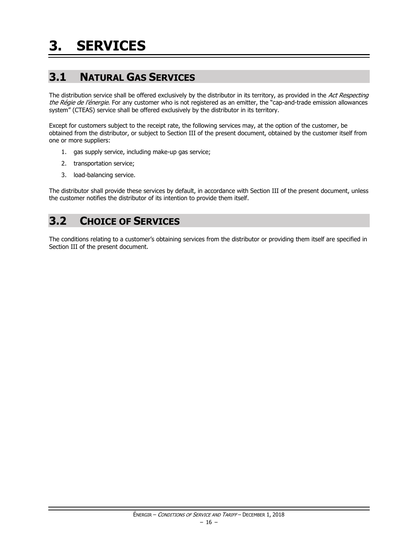# <span id="page-17-1"></span><span id="page-17-0"></span>**3.1 NATURAL GAS SERVICES**

The distribution service shall be offered exclusively by the distributor in its territory, as provided in the Act Respecting the Régie de l'énergie. For any customer who is not registered as an emitter, the "cap-and-trade emission allowances system" (CTEAS) service shall be offered exclusively by the distributor in its territory.

Except for customers subject to the receipt rate, the following services may, at the option of the customer, be obtained from the distributor, or subject to Section III of the present document, obtained by the customer itself from one or more suppliers:

- 1. gas supply service, including make-up gas service;
- 2. transportation service;
- 3. load-balancing service.

The distributor shall provide these services by default, in accordance with Section III of the present document, unless the customer notifies the distributor of its intention to provide them itself.

## <span id="page-17-2"></span>**3.2 CHOICE OF SERVICES**

The conditions relating to a customer's obtaining services from the distributor or providing them itself are specified in Section III of the present document.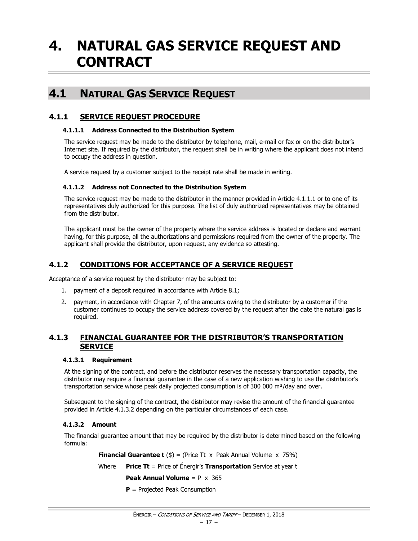# <span id="page-18-0"></span>**4. NATURAL GAS SERVICE REQUEST AND CONTRACT**

### <span id="page-18-1"></span>**4.1 NATURAL GAS SERVICE REQUEST**

#### <span id="page-18-2"></span>**4.1.1 SERVICE REQUEST PROCEDURE**

#### **4.1.1.1 Address Connected to the Distribution System**

The service request may be made to the distributor by telephone, mail, e-mail or fax or on the distributor's Internet site. If required by the distributor, the request shall be in writing where the applicant does not intend to occupy the address in question.

A service request by a customer subject to the receipt rate shall be made in writing.

#### **4.1.1.2 Address not Connected to the Distribution System**

The service request may be made to the distributor in the manner provided in Article 4.1.1.1 or to one of its representatives duly authorized for this purpose. The list of duly authorized representatives may be obtained from the distributor.

The applicant must be the owner of the property where the service address is located or declare and warrant having, for this purpose, all the authorizations and permissions required from the owner of the property. The applicant shall provide the distributor, upon request, any evidence so attesting.

#### <span id="page-18-3"></span>**4.1.2 CONDITIONS FOR ACCEPTANCE OF A SERVICE REQUEST**

Acceptance of a service request by the distributor may be subject to:

- 1. payment of a deposit required in accordance with Article 8.1;
- 2. payment, in accordance with Chapter 7, of the amounts owing to the distributor by a customer if the customer continues to occupy the service address covered by the request after the date the natural gas is required.

#### <span id="page-18-4"></span>**4.1.3 FINANCIAL GUARANTEE FOR THE DISTRIBUTOR'S TRANSPORTATION SERVICE**

#### **4.1.3.1 Requirement**

At the signing of the contract, and before the distributor reserves the necessary transportation capacity, the distributor may require a financial guarantee in the case of a new application wishing to use the distributor's transportation service whose peak daily projected consumption is of 300 000  $\text{m}^3/\text{day}$  and over.

Subsequent to the signing of the contract, the distributor may revise the amount of the financial guarantee provided in Article 4.1.3.2 depending on the particular circumstances of each case.

#### **4.1.3.2 Amount**

The financial guarantee amount that may be required by the distributor is determined based on the following formula:

**Financial Guarantee t** ( $\$$ ) = (Price Tt x Peak Annual Volume x 75%)

Where **Price Tt** = Price of Énergir's **Transportation** Service at year t

**Peak Annual Volume** = P x 365

**P** = Projected Peak Consumption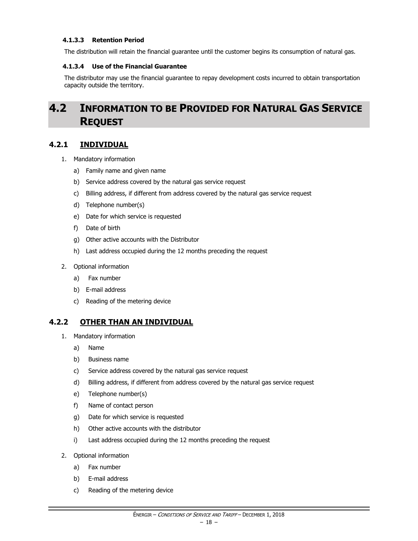#### **4.1.3.3 Retention Period**

The distribution will retain the financial guarantee until the customer begins its consumption of natural gas.

#### **4.1.3.4 Use of the Financial Guarantee**

The distributor may use the financial guarantee to repay development costs incurred to obtain transportation capacity outside the territory.

# <span id="page-19-0"></span>**4.2 INFORMATION TO BE PROVIDED FOR NATURAL GAS SERVICE REQUEST**

#### <span id="page-19-1"></span>**4.2.1 INDIVIDUAL**

- 1. Mandatory information
	- a) Family name and given name
	- b) Service address covered by the natural gas service request
	- c) Billing address, if different from address covered by the natural gas service request
	- d) Telephone number(s)
	- e) Date for which service is requested
	- f) Date of birth
	- g) Other active accounts with the Distributor
	- h) Last address occupied during the 12 months preceding the request
- 2. Optional information
	- a) Fax number
	- b) E-mail address
	- c) Reading of the metering device

#### <span id="page-19-2"></span>**4.2.2 OTHER THAN AN INDIVIDUAL**

- 1. Mandatory information
	- a) Name
	- b) Business name
	- c) Service address covered by the natural gas service request
	- d) Billing address, if different from address covered by the natural gas service request
	- e) Telephone number(s)
	- f) Name of contact person
	- g) Date for which service is requested
	- h) Other active accounts with the distributor
	- i) Last address occupied during the 12 months preceding the request
- 2. Optional information
	- a) Fax number
	- b) E-mail address
	- c) Reading of the metering device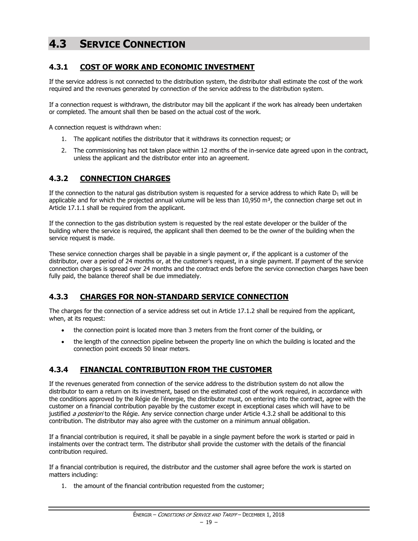# <span id="page-20-0"></span>**4.3 SERVICE CONNECTION**

#### <span id="page-20-1"></span>**4.3.1 COST OF WORK AND ECONOMIC INVESTMENT**

If the service address is not connected to the distribution system, the distributor shall estimate the cost of the work required and the revenues generated by connection of the service address to the distribution system.

If a connection request is withdrawn, the distributor may bill the applicant if the work has already been undertaken or completed. The amount shall then be based on the actual cost of the work.

A connection request is withdrawn when:

- 1. The applicant notifies the distributor that it withdraws its connection request; or
- 2. The commissioning has not taken place within 12 months of the in-service date agreed upon in the contract, unless the applicant and the distributor enter into an agreement.

#### <span id="page-20-2"></span>**4.3.2 CONNECTION CHARGES**

If the connection to the natural gas distribution system is requested for a service address to which Rate  $D_1$  will be applicable and for which the projected annual volume will be less than  $10,950$  m<sup>3</sup>, the connection charge set out in Article 17.1.1 shall be required from the applicant.

If the connection to the gas distribution system is requested by the real estate developer or the builder of the building where the service is required, the applicant shall then deemed to be the owner of the building when the service request is made.

These service connection charges shall be payable in a single payment or, if the applicant is a customer of the distributor, over a period of 24 months or, at the customer's request, in a single payment. If payment of the service connection charges is spread over 24 months and the contract ends before the service connection charges have been fully paid, the balance thereof shall be due immediately.

#### <span id="page-20-3"></span>**4.3.3 CHARGES FOR NON-STANDARD SERVICE CONNECTION**

The charges for the connection of a service address set out in Article 17.1.2 shall be required from the applicant, when, at its request:

- the connection point is located more than 3 meters from the front corner of the building, or
- the length of the connection pipeline between the property line on which the building is located and the connection point exceeds 50 linear meters.

#### <span id="page-20-4"></span>**4.3.4 FINANCIAL CONTRIBUTION FROM THE CUSTOMER**

If the revenues generated from connection of the service address to the distribution system do not allow the distributor to earn a return on its investment, based on the estimated cost of the work required, in accordance with the conditions approved by the Régie de l'énergie, the distributor must, on entering into the contract, agree with the customer on a financial contribution payable by the customer except in exceptional cases which will have to be justified a posteriori to the Régie. Any service connection charge under Article 4.3.2 shall be additional to this contribution. The distributor may also agree with the customer on a minimum annual obligation.

If a financial contribution is required, it shall be payable in a single payment before the work is started or paid in instalments over the contract term. The distributor shall provide the customer with the details of the financial contribution required.

If a financial contribution is required, the distributor and the customer shall agree before the work is started on matters including:

1. the amount of the financial contribution requested from the customer;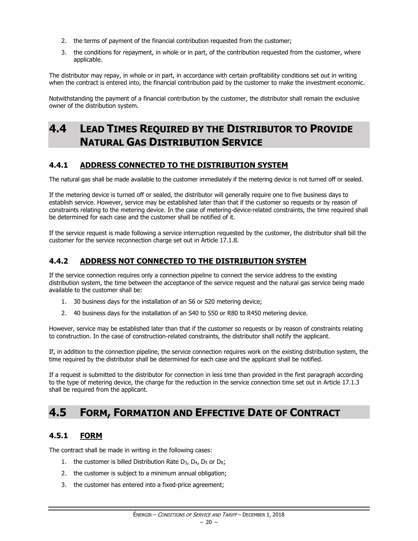- 2. the terms of payment of the financial contribution requested from the customer;
- 3. the conditions for repayment, in whole or in part, of the contribution requested from the customer, where applicable.

The distributor may repay, in whole or in part, in accordance with certain profitability conditions set out in writing when the contract is entered into, the financial contribution paid by the customer to make the investment economic.

Notwithstanding the payment of a financial contribution by the customer, the distributor shall remain the exclusive owner of the distribution system.

## <span id="page-21-0"></span>**4.4 LEAD TIMES REQUIRED BY THE DISTRIBUTOR TO PROVIDE NATURAL GAS DISTRIBUTION SERVICE**

#### <span id="page-21-1"></span>**4.4.1 ADDRESS CONNECTED TO THE DISTRIBUTION SYSTEM**

The natural gas shall be made available to the customer immediately if the metering device is not turned off or sealed.

If the metering device is turned off or sealed, the distributor will generally require one to five business days to establish service. However, service may be established later than that if the customer so requests or by reason of constraints relating to the metering device. In the case of metering-device-related constraints, the time required shall be determined for each case and the customer shall be notified of it.

If the service request is made following a service interruption requested by the customer, the distributor shall bill the customer for the service reconnection charge set out in Article 17.1.8.

#### <span id="page-21-2"></span>**4.4.2 ADDRESS NOT CONNECTED TO THE DISTRIBUTION SYSTEM**

If the service connection requires only a connection pipeline to connect the service address to the existing distribution system, the time between the acceptance of the service request and the natural gas service being made available to the customer shall be:

- 1. 30 business days for the installation of an S6 or S20 metering device;
- 2. 40 business days for the installation of an S40 to S50 or R80 to R450 metering device.

However, service may be established later than that if the customer so requests or by reason of constraints relating to construction. In the case of construction-related constraints, the distributor shall notify the applicant.

If, in addition to the connection pipeline, the service connection requires work on the existing distribution system, the time required by the distributor shall be determined for each case and the applicant shall be notified.

If a request is submitted to the distributor for connection in less time than provided in the first paragraph according to the type of metering device, the charge for the reduction in the service connection time set out in Article 17.1.3 shall be required from the applicant.

## <span id="page-21-3"></span>**4.5 FORM, FORMATION AND EFFECTIVE DATE OF CONTRACT**

#### <span id="page-21-4"></span>**4.5.1 FORM**

The contract shall be made in writing in the following cases:

- 1. the customer is billed Distribution Rate D<sub>3</sub>, D<sub>4</sub>, D<sub>5</sub> or D<sub>R</sub>;
- 2. the customer is subject to a minimum annual obligation;
- 3. the customer has entered into a fixed-price agreement;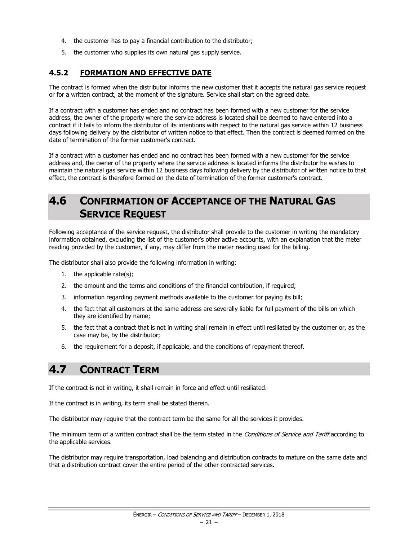- 4. the customer has to pay a financial contribution to the distributor;
- 5. the customer who supplies its own natural gas supply service.

#### <span id="page-22-0"></span>**4.5.2 FORMATION AND EFFECTIVE DATE**

The contract is formed when the distributor informs the new customer that it accepts the natural gas service request or for a written contract, at the moment of the signature. Service shall start on the agreed date.

If a contract with a customer has ended and no contract has been formed with a new customer for the service address, the owner of the property where the service address is located shall be deemed to have entered into a contract if it fails to inform the distributor of its intentions with respect to the natural gas service within 12 business days following delivery by the distributor of written notice to that effect. Then the contract is deemed formed on the date of termination of the former customer's contract.

If a contract with a customer has ended and no contract has been formed with a new customer for the service address and, the owner of the property where the service address is located informs the distributor he wishes to maintain the natural gas service within 12 business days following delivery by the distributor of written notice to that effect, the contract is therefore formed on the date of termination of the former customer's contract.

# <span id="page-22-1"></span>**4.6 CONFIRMATION OF ACCEPTANCE OF THE NATURAL GAS SERVICE REQUEST**

Following acceptance of the service request, the distributor shall provide to the customer in writing the mandatory information obtained, excluding the list of the customer's other active accounts, with an explanation that the meter reading provided by the customer, if any, may differ from the meter reading used for the billing.

The distributor shall also provide the following information in writing:

- 1. the applicable rate(s);
- 2. the amount and the terms and conditions of the financial contribution, if required;
- 3. information regarding payment methods available to the customer for paying its bill;
- 4. the fact that all customers at the same address are severally liable for full payment of the bills on which they are identified by name;
- 5. the fact that a contract that is not in writing shall remain in effect until resiliated by the customer or, as the case may be, by the distributor;
- 6. the requirement for a deposit, if applicable, and the conditions of repayment thereof.

## <span id="page-22-2"></span>**4.7 CONTRACT TERM**

If the contract is not in writing, it shall remain in force and effect until resiliated.

If the contract is in writing, its term shall be stated therein.

The distributor may require that the contract term be the same for all the services it provides.

The minimum term of a written contract shall be the term stated in the Conditions of Service and Tariff according to the applicable services.

The distributor may require transportation, load balancing and distribution contracts to mature on the same date and that a distribution contract cover the entire period of the other contracted services.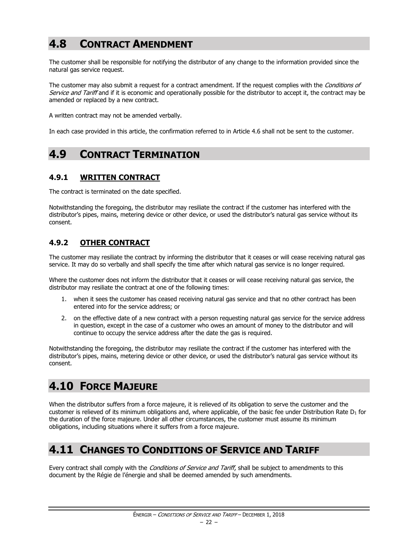# <span id="page-23-0"></span>**4.8 CONTRACT AMENDMENT**

The customer shall be responsible for notifying the distributor of any change to the information provided since the natural gas service request.

The customer may also submit a request for a contract amendment. If the request complies with the *Conditions of* Service and Tariff and if it is economic and operationally possible for the distributor to accept it, the contract may be amended or replaced by a new contract.

A written contract may not be amended verbally.

In each case provided in this article, the confirmation referred to in Article 4.6 shall not be sent to the customer.

## <span id="page-23-1"></span>**4.9 CONTRACT TERMINATION**

#### <span id="page-23-2"></span>**4.9.1 WRITTEN CONTRACT**

The contract is terminated on the date specified.

Notwithstanding the foregoing, the distributor may resiliate the contract if the customer has interfered with the distributor's pipes, mains, metering device or other device, or used the distributor's natural gas service without its consent.

#### <span id="page-23-3"></span>**4.9.2 OTHER CONTRACT**

The customer may resiliate the contract by informing the distributor that it ceases or will cease receiving natural gas service. It may do so verbally and shall specify the time after which natural gas service is no longer required.

Where the customer does not inform the distributor that it ceases or will cease receiving natural gas service, the distributor may resiliate the contract at one of the following times:

- 1. when it sees the customer has ceased receiving natural gas service and that no other contract has been entered into for the service address; or
- 2. on the effective date of a new contract with a person requesting natural gas service for the service address in question, except in the case of a customer who owes an amount of money to the distributor and will continue to occupy the service address after the date the gas is required.

Notwithstanding the foregoing, the distributor may resiliate the contract if the customer has interfered with the distributor's pipes, mains, metering device or other device, or used the distributor's natural gas service without its consent.

# <span id="page-23-4"></span>**4.10 FORCE MAJEURE**

When the distributor suffers from a force majeure, it is relieved of its obligation to serve the customer and the customer is relieved of its minimum obligations and, where applicable, of the basic fee under Distribution Rate  $D_1$  for the duration of the force majeure. Under all other circumstances, the customer must assume its minimum obligations, including situations where it suffers from a force majeure.

## <span id="page-23-5"></span>**4.11 CHANGES TO CONDITIONS OF SERVICE AND TARIFF**

Every contract shall comply with the *Conditions of Service and Tariff*, shall be subject to amendments to this document by the Régie de l'énergie and shall be deemed amended by such amendments.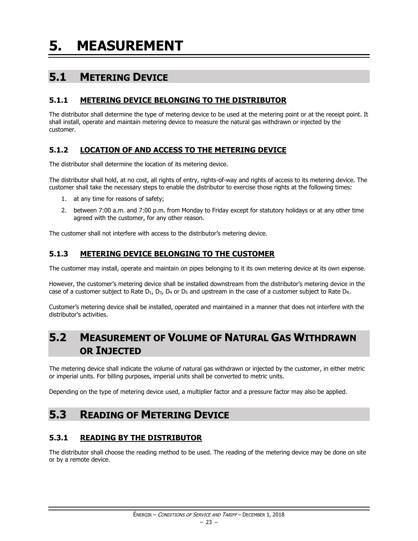<span id="page-24-0"></span>**5. MEASUREMENT**

# <span id="page-24-1"></span>**5.1 METERING DEVICE**

#### <span id="page-24-2"></span>**5.1.1 METERING DEVICE BELONGING TO THE DISTRIBUTOR**

The distributor shall determine the type of metering device to be used at the metering point or at the receipt point. It shall install, operate and maintain metering device to measure the natural gas withdrawn or injected by the customer.

#### <span id="page-24-3"></span>**5.1.2 LOCATION OF AND ACCESS TO THE METERING DEVICE**

The distributor shall determine the location of its metering device.

The distributor shall hold, at no cost, all rights of entry, rights-of-way and rights of access to its metering device. The customer shall take the necessary steps to enable the distributor to exercise those rights at the following times:

- 1. at any time for reasons of safety;
- 2. between 7:00 a.m. and 7:00 p.m. from Monday to Friday except for statutory holidays or at any other time agreed with the customer, for any other reason.

The customer shall not interfere with access to the distributor's metering device.

#### <span id="page-24-4"></span>**5.1.3 METERING DEVICE BELONGING TO THE CUSTOMER**

The customer may install, operate and maintain on pipes belonging to it its own metering device at its own expense.

However, the customer's metering device shall be installed downstream from the distributor's metering device in the case of a customer subject to Rate  $D_1$ ,  $D_3$ ,  $D_4$  or  $D_5$  and upstream in the case of a customer subject to Rate  $D_R$ .

Customer's metering device shall be installed, operated and maintained in a manner that does not interfere with the distributor's activities.

# <span id="page-24-5"></span>**5.2 MEASUREMENT OF VOLUME OF NATURAL GAS WITHDRAWN OR INJECTED**

The metering device shall indicate the volume of natural gas withdrawn or injected by the customer, in either metric or imperial units. For billing purposes, imperial units shall be converted to metric units.

Depending on the type of metering device used, a multiplier factor and a pressure factor may also be applied.

# <span id="page-24-6"></span>**5.3 READING OF METERING DEVICE**

#### <span id="page-24-7"></span>**5.3.1 READING BY THE DISTRIBUTOR**

The distributor shall choose the reading method to be used. The reading of the metering device may be done on site or by a remote device.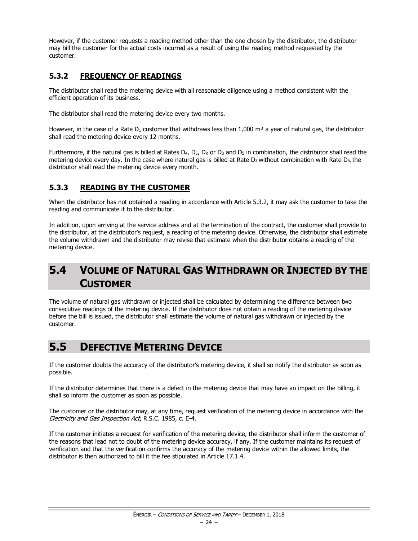However, if the customer requests a reading method other than the one chosen by the distributor, the distributor may bill the customer for the actual costs incurred as a result of using the reading method requested by the customer.

#### <span id="page-25-0"></span>**5.3.2 FREQUENCY OF READINGS**

The distributor shall read the metering device with all reasonable diligence using a method consistent with the efficient operation of its business.

The distributor shall read the metering device every two months.

However, in the case of a Rate  $D_1$  customer that withdraws less than 1,000 m<sup>3</sup> a year of natural gas, the distributor shall read the metering device every 12 months.

Furthermore, if the natural gas is billed at Rates  $D_4$ ,  $D_5$ ,  $D_R$  or  $D_3$  and  $D_5$  in combination, the distributor shall read the metering device every day. In the case where natural gas is billed at Rate D<sub>3</sub> without combination with Rate D<sub>5</sub>, the distributor shall read the metering device every month.

#### <span id="page-25-1"></span>**5.3.3 READING BY THE CUSTOMER**

When the distributor has not obtained a reading in accordance with Article 5.3.2, it may ask the customer to take the reading and communicate it to the distributor.

In addition, upon arriving at the service address and at the termination of the contract, the customer shall provide to the distributor, at the distributor's request, a reading of the metering device. Otherwise, the distributor shall estimate the volume withdrawn and the distributor may revise that estimate when the distributor obtains a reading of the metering device.

## <span id="page-25-2"></span>**5.4 VOLUME OF NATURAL GAS WITHDRAWN OR INJECTED BY THE CUSTOMER**

The volume of natural gas withdrawn or injected shall be calculated by determining the difference between two consecutive readings of the metering device. If the distributor does not obtain a reading of the metering device before the bill is issued, the distributor shall estimate the volume of natural gas withdrawn or injected by the customer.

# <span id="page-25-3"></span>**5.5 DEFECTIVE METERING DEVICE**

If the customer doubts the accuracy of the distributor's metering device, it shall so notify the distributor as soon as possible.

If the distributor determines that there is a defect in the metering device that may have an impact on the billing, it shall so inform the customer as soon as possible.

The customer or the distributor may, at any time, request verification of the metering device in accordance with the Electricity and Gas Inspection Act, R.S.C. 1985, c. E-4.

If the customer initiates a request for verification of the metering device, the distributor shall inform the customer of the reasons that lead not to doubt of the metering device accuracy, if any. If the customer maintains its request of verification and that the verification confirms the accuracy of the metering device within the allowed limits, the distributor is then authorized to bill it the fee stipulated in Article 17.1.4.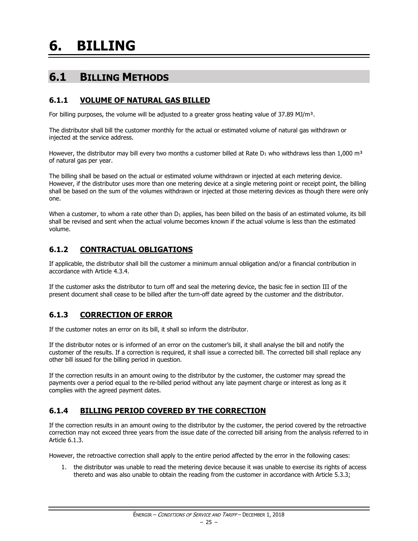# <span id="page-26-0"></span>**6. BILLING**

# <span id="page-26-1"></span>**6.1 BILLING METHODS**

#### <span id="page-26-2"></span>**6.1.1 VOLUME OF NATURAL GAS BILLED**

For billing purposes, the volume will be adjusted to a greater gross heating value of 37.89 MJ/m<sup>3</sup>.

The distributor shall bill the customer monthly for the actual or estimated volume of natural gas withdrawn or injected at the service address.

However, the distributor may bill every two months a customer billed at Rate  $D_1$  who withdraws less than 1,000 m<sup>3</sup> of natural gas per year.

The billing shall be based on the actual or estimated volume withdrawn or injected at each metering device. However, if the distributor uses more than one metering device at a single metering point or receipt point, the billing shall be based on the sum of the volumes withdrawn or injected at those metering devices as though there were only one.

When a customer, to whom a rate other than  $D_1$  applies, has been billed on the basis of an estimated volume, its bill shall be revised and sent when the actual volume becomes known if the actual volume is less than the estimated volume.

#### <span id="page-26-3"></span>**6.1.2 CONTRACTUAL OBLIGATIONS**

If applicable, the distributor shall bill the customer a minimum annual obligation and/or a financial contribution in accordance with Article 4.3.4.

If the customer asks the distributor to turn off and seal the metering device, the basic fee in section III of the present document shall cease to be billed after the turn-off date agreed by the customer and the distributor.

#### <span id="page-26-4"></span>**6.1.3 CORRECTION OF ERROR**

If the customer notes an error on its bill, it shall so inform the distributor.

If the distributor notes or is informed of an error on the customer's bill, it shall analyse the bill and notify the customer of the results. If a correction is required, it shall issue a corrected bill. The corrected bill shall replace any other bill issued for the billing period in question.

If the correction results in an amount owing to the distributor by the customer, the customer may spread the payments over a period equal to the re-billed period without any late payment charge or interest as long as it complies with the agreed payment dates.

#### <span id="page-26-5"></span>**6.1.4 BILLING PERIOD COVERED BY THE CORRECTION**

If the correction results in an amount owing to the distributor by the customer, the period covered by the retroactive correction may not exceed three years from the issue date of the corrected bill arising from the analysis referred to in Article 6.1.3.

However, the retroactive correction shall apply to the entire period affected by the error in the following cases:

1. the distributor was unable to read the metering device because it was unable to exercise its rights of access thereto and was also unable to obtain the reading from the customer in accordance with Article 5.3.3;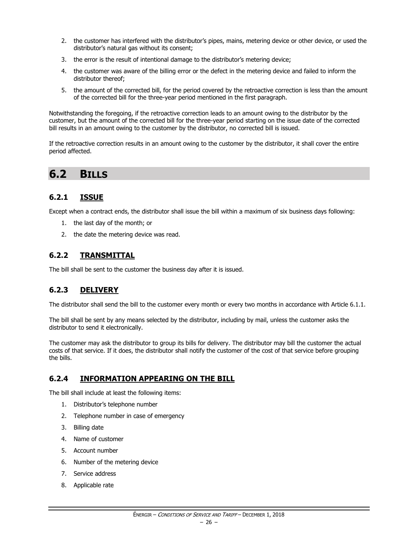- 2. the customer has interfered with the distributor's pipes, mains, metering device or other device, or used the distributor's natural gas without its consent;
- 3. the error is the result of intentional damage to the distributor's metering device;
- 4. the customer was aware of the billing error or the defect in the metering device and failed to inform the distributor thereof;
- 5. the amount of the corrected bill, for the period covered by the retroactive correction is less than the amount of the corrected bill for the three-year period mentioned in the first paragraph.

Notwithstanding the foregoing, if the retroactive correction leads to an amount owing to the distributor by the customer, but the amount of the corrected bill for the three-year period starting on the issue date of the corrected bill results in an amount owing to the customer by the distributor, no corrected bill is issued.

If the retroactive correction results in an amount owing to the customer by the distributor, it shall cover the entire period affected.

### <span id="page-27-0"></span>**6.2 BILLS**

#### <span id="page-27-1"></span>**6.2.1 ISSUE**

Except when a contract ends, the distributor shall issue the bill within a maximum of six business days following:

- 1. the last day of the month; or
- 2. the date the metering device was read.

#### <span id="page-27-2"></span>**6.2.2 TRANSMITTAL**

The bill shall be sent to the customer the business day after it is issued.

#### <span id="page-27-3"></span>**6.2.3 DELIVERY**

The distributor shall send the bill to the customer every month or every two months in accordance with Article 6.1.1.

The bill shall be sent by any means selected by the distributor, including by mail, unless the customer asks the distributor to send it electronically.

The customer may ask the distributor to group its bills for delivery. The distributor may bill the customer the actual costs of that service. If it does, the distributor shall notify the customer of the cost of that service before grouping the bills.

#### <span id="page-27-4"></span>**6.2.4 INFORMATION APPEARING ON THE BILL**

The bill shall include at least the following items:

- 1. Distributor's telephone number
- 2. Telephone number in case of emergency
- 3. Billing date
- 4. Name of customer
- 5. Account number
- 6. Number of the metering device
- 7. Service address
- 8. Applicable rate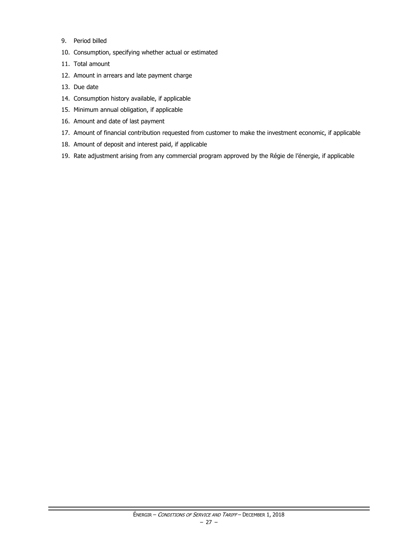- 9. Period billed
- 10. Consumption, specifying whether actual or estimated
- 11. Total amount
- 12. Amount in arrears and late payment charge
- 13. Due date
- 14. Consumption history available, if applicable
- 15. Minimum annual obligation, if applicable
- 16. Amount and date of last payment
- 17. Amount of financial contribution requested from customer to make the investment economic, if applicable
- 18. Amount of deposit and interest paid, if applicable
- 19. Rate adjustment arising from any commercial program approved by the Régie de l'énergie, if applicable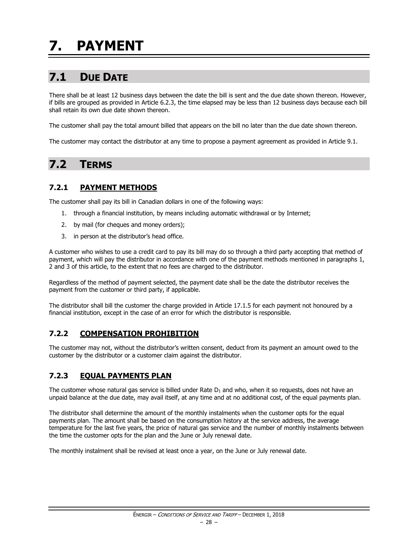# <span id="page-29-1"></span><span id="page-29-0"></span>**7.1 DUE DATE**

There shall be at least 12 business days between the date the bill is sent and the due date shown thereon. However, if bills are grouped as provided in Article 6.2.3, the time elapsed may be less than 12 business days because each bill shall retain its own due date shown thereon.

The customer shall pay the total amount billed that appears on the bill no later than the due date shown thereon.

The customer may contact the distributor at any time to propose a payment agreement as provided in Article 9.1.

# <span id="page-29-2"></span>**7.2 TERMS**

#### <span id="page-29-3"></span>**7.2.1 PAYMENT METHODS**

The customer shall pay its bill in Canadian dollars in one of the following ways:

- 1. through a financial institution, by means including automatic withdrawal or by Internet;
- 2. by mail (for cheques and money orders);
- 3. in person at the distributor's head office.

A customer who wishes to use a credit card to pay its bill may do so through a third party accepting that method of payment, which will pay the distributor in accordance with one of the payment methods mentioned in paragraphs 1, 2 and 3 of this article, to the extent that no fees are charged to the distributor.

Regardless of the method of payment selected, the payment date shall be the date the distributor receives the payment from the customer or third party, if applicable.

The distributor shall bill the customer the charge provided in Article 17.1.5 for each payment not honoured by a financial institution, except in the case of an error for which the distributor is responsible.

#### <span id="page-29-4"></span>**7.2.2 COMPENSATION PROHIBITION**

The customer may not, without the distributor's written consent, deduct from its payment an amount owed to the customer by the distributor or a customer claim against the distributor.

#### <span id="page-29-5"></span>**7.2.3 EQUAL PAYMENTS PLAN**

The customer whose natural gas service is billed under Rate  $D_1$  and who, when it so requests, does not have an unpaid balance at the due date, may avail itself, at any time and at no additional cost, of the equal payments plan.

The distributor shall determine the amount of the monthly instalments when the customer opts for the equal payments plan. The amount shall be based on the consumption history at the service address, the average temperature for the last five years, the price of natural gas service and the number of monthly instalments between the time the customer opts for the plan and the June or July renewal date.

The monthly instalment shall be revised at least once a year, on the June or July renewal date.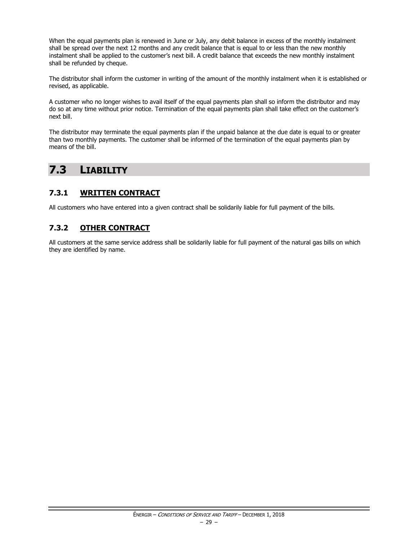When the equal payments plan is renewed in June or July, any debit balance in excess of the monthly instalment shall be spread over the next 12 months and any credit balance that is equal to or less than the new monthly instalment shall be applied to the customer's next bill. A credit balance that exceeds the new monthly instalment shall be refunded by cheque.

The distributor shall inform the customer in writing of the amount of the monthly instalment when it is established or revised, as applicable.

A customer who no longer wishes to avail itself of the equal payments plan shall so inform the distributor and may do so at any time without prior notice. Termination of the equal payments plan shall take effect on the customer's next bill.

The distributor may terminate the equal payments plan if the unpaid balance at the due date is equal to or greater than two monthly payments. The customer shall be informed of the termination of the equal payments plan by means of the bill.

# <span id="page-30-0"></span>**7.3 LIABILITY**

#### <span id="page-30-1"></span>**7.3.1 WRITTEN CONTRACT**

All customers who have entered into a given contract shall be solidarily liable for full payment of the bills.

#### <span id="page-30-2"></span>**7.3.2 OTHER CONTRACT**

All customers at the same service address shall be solidarily liable for full payment of the natural gas bills on which they are identified by name.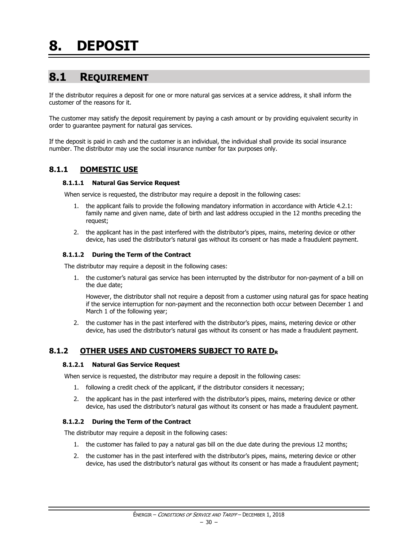# <span id="page-31-1"></span><span id="page-31-0"></span>**8.1 REQUIREMENT**

If the distributor requires a deposit for one or more natural gas services at a service address, it shall inform the customer of the reasons for it.

The customer may satisfy the deposit requirement by paying a cash amount or by providing equivalent security in order to guarantee payment for natural gas services.

If the deposit is paid in cash and the customer is an individual, the individual shall provide its social insurance number. The distributor may use the social insurance number for tax purposes only.

#### <span id="page-31-2"></span>**8.1.1 DOMESTIC USE**

#### **8.1.1.1 Natural Gas Service Request**

When service is requested, the distributor may require a deposit in the following cases:

- 1. the applicant fails to provide the following mandatory information in accordance with Article 4.2.1: family name and given name, date of birth and last address occupied in the 12 months preceding the request;
- 2. the applicant has in the past interfered with the distributor's pipes, mains, metering device or other device, has used the distributor's natural gas without its consent or has made a fraudulent payment.

#### **8.1.1.2 During the Term of the Contract**

The distributor may require a deposit in the following cases:

1. the customer's natural gas service has been interrupted by the distributor for non-payment of a bill on the due date;

However, the distributor shall not require a deposit from a customer using natural gas for space heating if the service interruption for non-payment and the reconnection both occur between December 1 and March 1 of the following year;

2. the customer has in the past interfered with the distributor's pipes, mains, metering device or other device, has used the distributor's natural gas without its consent or has made a fraudulent payment.

#### <span id="page-31-3"></span>**8.1.2 OTHER USES AND CUSTOMERS SUBJECT TO RATE D<sup>R</sup>**

#### **8.1.2.1 Natural Gas Service Request**

When service is requested, the distributor may require a deposit in the following cases:

- 1. following a credit check of the applicant, if the distributor considers it necessary;
- 2. the applicant has in the past interfered with the distributor's pipes, mains, metering device or other device, has used the distributor's natural gas without its consent or has made a fraudulent payment.

#### **8.1.2.2 During the Term of the Contract**

The distributor may require a deposit in the following cases:

- 1. the customer has failed to pay a natural gas bill on the due date during the previous 12 months;
- 2. the customer has in the past interfered with the distributor's pipes, mains, metering device or other device, has used the distributor's natural gas without its consent or has made a fraudulent payment;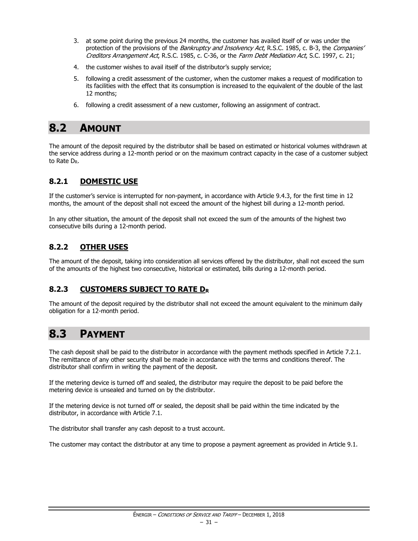- 3. at some point during the previous 24 months, the customer has availed itself of or was under the protection of the provisions of the Bankruptcy and Insolvency Act, R.S.C. 1985, c. B-3, the Companies' Creditors Arrangement Act, R.S.C. 1985, c. C-36, or the Farm Debt Mediation Act, S.C. 1997, c. 21;
- 4. the customer wishes to avail itself of the distributor's supply service;
- 5. following a credit assessment of the customer, when the customer makes a request of modification to its facilities with the effect that its consumption is increased to the equivalent of the double of the last 12 months;
- 6. following a credit assessment of a new customer, following an assignment of contract.

### <span id="page-32-0"></span>**8.2 AMOUNT**

The amount of the deposit required by the distributor shall be based on estimated or historical volumes withdrawn at the service address during a 12-month period or on the maximum contract capacity in the case of a customer subject to Rate DR.

#### <span id="page-32-1"></span>**8.2.1 DOMESTIC USE**

If the customer's service is interrupted for non-payment, in accordance with Article 9.4.3, for the first time in 12 months, the amount of the deposit shall not exceed the amount of the highest bill during a 12-month period.

In any other situation, the amount of the deposit shall not exceed the sum of the amounts of the highest two consecutive bills during a 12-month period.

#### <span id="page-32-2"></span>**8.2.2 OTHER USES**

The amount of the deposit, taking into consideration all services offered by the distributor, shall not exceed the sum of the amounts of the highest two consecutive, historical or estimated, bills during a 12-month period.

#### <span id="page-32-3"></span>**8.2.3 CUSTOMERS SUBJECT TO RATE D<sup>R</sup>**

The amount of the deposit required by the distributor shall not exceed the amount equivalent to the minimum daily obligation for a 12-month period.

## <span id="page-32-4"></span>**8.3 PAYMENT**

The cash deposit shall be paid to the distributor in accordance with the payment methods specified in Article 7.2.1. The remittance of any other security shall be made in accordance with the terms and conditions thereof. The distributor shall confirm in writing the payment of the deposit.

If the metering device is turned off and sealed, the distributor may require the deposit to be paid before the metering device is unsealed and turned on by the distributor.

If the metering device is not turned off or sealed, the deposit shall be paid within the time indicated by the distributor, in accordance with Article 7.1.

The distributor shall transfer any cash deposit to a trust account.

<span id="page-32-5"></span>The customer may contact the distributor at any time to propose a payment agreement as provided in Article 9.1.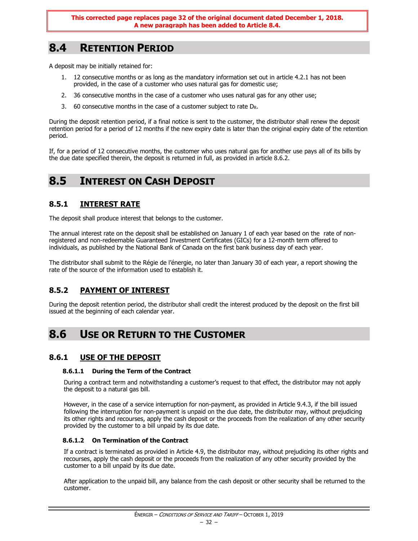# **8.4 RETENTION PERIOD**

A deposit may be initially retained for:

- 1. 12 consecutive months or as long as the mandatory information set out in article 4.2.1 has not been provided, in the case of a customer who uses natural gas for domestic use;
- 2. 36 consecutive months in the case of a customer who uses natural gas for any other use;
- 3. 60 consecutive months in the case of a customer subject to rate  $D_R$ .

During the deposit retention period, if a final notice is sent to the customer, the distributor shall renew the deposit retention period for a period of 12 months if the new expiry date is later than the original expiry date of the retention period.

If, for a period of 12 consecutive months, the customer who uses natural gas for another use pays all of its bills by the due date specified therein, the deposit is returned in full, as provided in article 8.6.2.

### <span id="page-33-0"></span>**8.5 INTEREST ON CASH DEPOSIT**

#### <span id="page-33-1"></span>**8.5.1 INTEREST RATE**

The deposit shall produce interest that belongs to the customer.

The annual interest rate on the deposit shall be established on January 1 of each year based on the rate of nonregistered and non-redeemable Guaranteed Investment Certificates (GICs) for a 12-month term offered to individuals, as published by the National Bank of Canada on the first bank business day of each year.

The distributor shall submit to the Régie de l'énergie, no later than January 30 of each year, a report showing the rate of the source of the information used to establish it.

#### <span id="page-33-2"></span>**8.5.2 PAYMENT OF INTEREST**

During the deposit retention period, the distributor shall credit the interest produced by the deposit on the first bill issued at the beginning of each calendar year.

### <span id="page-33-3"></span>**8.6 USE OR RETURN TO THE CUSTOMER**

#### <span id="page-33-4"></span>**8.6.1 USE OF THE DEPOSIT**

#### **8.6.1.1 During the Term of the Contract**

During a contract term and notwithstanding a customer's request to that effect, the distributor may not apply the deposit to a natural gas bill.

However, in the case of a service interruption for non-payment, as provided in Article 9.4.3, if the bill issued following the interruption for non-payment is unpaid on the due date, the distributor may, without prejudicing its other rights and recourses, apply the cash deposit or the proceeds from the realization of any other security provided by the customer to a bill unpaid by its due date.

#### **8.6.1.2 On Termination of the Contract**

If a contract is terminated as provided in Article 4.9, the distributor may, without prejudicing its other rights and recourses, apply the cash deposit or the proceeds from the realization of any other security provided by the customer to a bill unpaid by its due date.

After application to the unpaid bill, any balance from the cash deposit or other security shall be returned to the customer.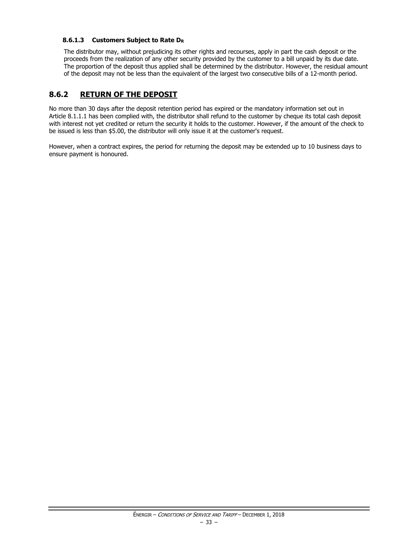#### **8.6.1.3 Customers Subject to Rate D<sup>R</sup>**

The distributor may, without prejudicing its other rights and recourses, apply in part the cash deposit or the proceeds from the realization of any other security provided by the customer to a bill unpaid by its due date. The proportion of the deposit thus applied shall be determined by the distributor. However, the residual amount of the deposit may not be less than the equivalent of the largest two consecutive bills of a 12-month period.

#### <span id="page-34-0"></span>**8.6.2 RETURN OF THE DEPOSIT**

No more than 30 days after the deposit retention period has expired or the mandatory information set out in Article 8.1.1.1 has been complied with, the distributor shall refund to the customer by cheque its total cash deposit with interest not yet credited or return the security it holds to the customer. However, if the amount of the check to be issued is less than \$5.00, the distributor will only issue it at the customer's request.

However, when a contract expires, the period for returning the deposit may be extended up to 10 business days to ensure payment is honoured.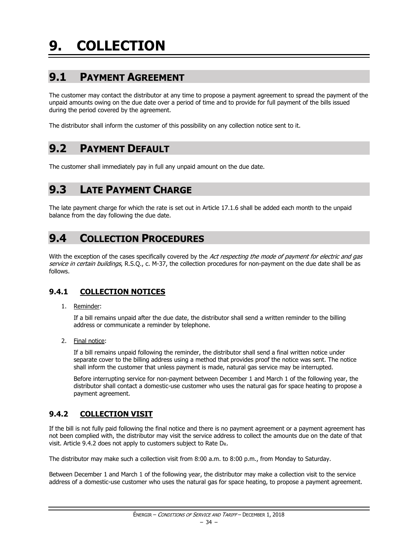# <span id="page-35-1"></span><span id="page-35-0"></span>**9.1 PAYMENT AGREEMENT**

The customer may contact the distributor at any time to propose a payment agreement to spread the payment of the unpaid amounts owing on the due date over a period of time and to provide for full payment of the bills issued during the period covered by the agreement.

The distributor shall inform the customer of this possibility on any collection notice sent to it.

## <span id="page-35-2"></span>**9.2 PAYMENT DEFAULT**

The customer shall immediately pay in full any unpaid amount on the due date.

# <span id="page-35-3"></span>**9.3 LATE PAYMENT CHARGE**

The late payment charge for which the rate is set out in Article 17.1.6 shall be added each month to the unpaid balance from the day following the due date.

## <span id="page-35-4"></span>**9.4 COLLECTION PROCEDURES**

With the exception of the cases specifically covered by the Act respecting the mode of payment for electric and gas service in certain buildings, R.S.O., c. M-37, the collection procedures for non-payment on the due date shall be as follows.

#### <span id="page-35-5"></span>**9.4.1 COLLECTION NOTICES**

1. Reminder:

If a bill remains unpaid after the due date, the distributor shall send a written reminder to the billing address or communicate a reminder by telephone.

2. Final notice:

If a bill remains unpaid following the reminder, the distributor shall send a final written notice under separate cover to the billing address using a method that provides proof the notice was sent. The notice shall inform the customer that unless payment is made, natural gas service may be interrupted.

Before interrupting service for non-payment between December 1 and March 1 of the following year, the distributor shall contact a domestic-use customer who uses the natural gas for space heating to propose a payment agreement.

#### <span id="page-35-6"></span>**9.4.2 COLLECTION VISIT**

If the bill is not fully paid following the final notice and there is no payment agreement or a payment agreement has not been complied with, the distributor may visit the service address to collect the amounts due on the date of that visit. Article 9.4.2 does not apply to customers subject to Rate DR.

The distributor may make such a collection visit from 8:00 a.m. to 8:00 p.m., from Monday to Saturday.

Between December 1 and March 1 of the following year, the distributor may make a collection visit to the service address of a domestic-use customer who uses the natural gas for space heating, to propose a payment agreement.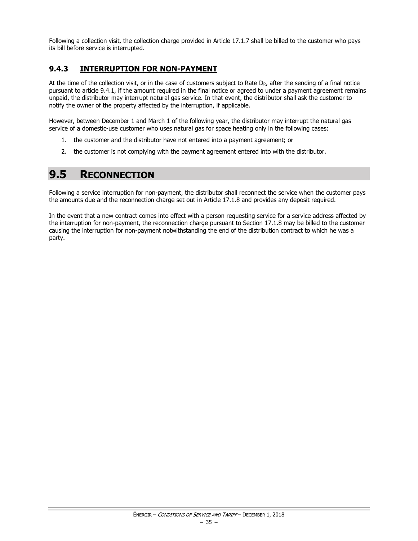Following a collection visit, the collection charge provided in Article 17.1.7 shall be billed to the customer who pays its bill before service is interrupted.

### **9.4.3 INTERRUPTION FOR NON-PAYMENT**

At the time of the collection visit, or in the case of customers subject to Rate  $D_R$ , after the sending of a final notice pursuant to article 9.4.1, if the amount required in the final notice or agreed to under a payment agreement remains unpaid, the distributor may interrupt natural gas service. In that event, the distributor shall ask the customer to notify the owner of the property affected by the interruption, if applicable.

However, between December 1 and March 1 of the following year, the distributor may interrupt the natural gas service of a domestic-use customer who uses natural gas for space heating only in the following cases:

- 1. the customer and the distributor have not entered into a payment agreement; or
- 2. the customer is not complying with the payment agreement entered into with the distributor.

# **9.5 RECONNECTION**

Following a service interruption for non-payment, the distributor shall reconnect the service when the customer pays the amounts due and the reconnection charge set out in Article 17.1.8 and provides any deposit required.

In the event that a new contract comes into effect with a person requesting service for a service address affected by the interruption for non-payment, the reconnection charge pursuant to Section 17.1.8 may be billed to the customer causing the interruption for non-payment notwithstanding the end of the distribution contract to which he was a party.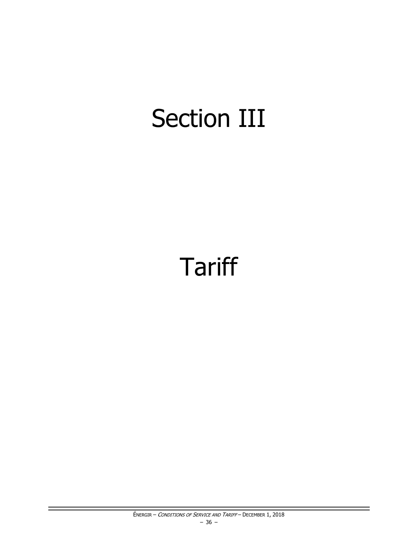# Section III

# **Tariff**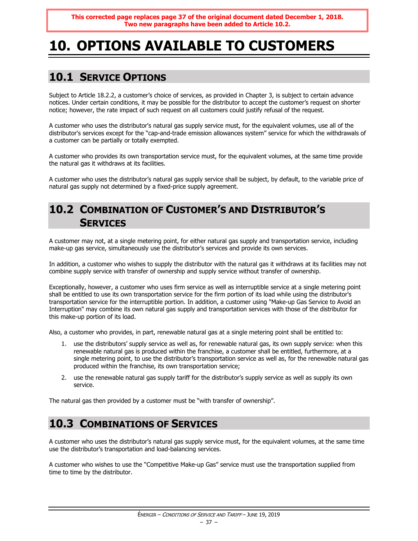# **10. OPTIONS AVAILABLE TO CUSTOMERS**

# **10.1 SERVICE OPTIONS**

Subject to Article 18.2.2, a customer's choice of services, as provided in Chapter 3, is subject to certain advance notices. Under certain conditions, it may be possible for the distributor to accept the customer's request on shorter notice; however, the rate impact of such request on all customers could justify refusal of the request.

A customer who uses the distributor's natural gas supply service must, for the equivalent volumes, use all of the distributor's services except for the "cap-and-trade emission allowances system" service for which the withdrawals of a customer can be partially or totally exempted.

A customer who provides its own transportation service must, for the equivalent volumes, at the same time provide the natural gas it withdraws at its facilities.

A customer who uses the distributor's natural gas supply service shall be subject, by default, to the variable price of natural gas supply not determined by a fixed-price supply agreement.

# **10.2 COMBINATION OF CUSTOMER'S AND DISTRIBUTOR'S SERVICES**

A customer may not, at a single metering point, for either natural gas supply and transportation service, including make-up gas service, simultaneously use the distributor's services and provide its own services.

In addition, a customer who wishes to supply the distributor with the natural gas it withdraws at its facilities may not combine supply service with transfer of ownership and supply service without transfer of ownership.

Exceptionally, however, a customer who uses firm service as well as interruptible service at a single metering point shall be entitled to use its own transportation service for the firm portion of its load while using the distributor's transportation service for the interruptible portion. In addition, a customer using "Make-up Gas Service to Avoid an Interruption" may combine its own natural gas supply and transportation services with those of the distributor for this make-up portion of its load.

Also, a customer who provides, in part, renewable natural gas at a single metering point shall be entitled to:

- 1. use the distributors' supply service as well as, for renewable natural gas, its own supply service: when this renewable natural gas is produced within the franchise, a customer shall be entitled, furthermore, at a single metering point, to use the distributor's transportation service as well as, for the renewable natural gas produced within the franchise, its own transportation service;
- 2. use the renewable natural gas supply tariff for the distributor's supply service as well as supply its own service.

The natural gas then provided by a customer must be "with transfer of ownership".

# **10.3 COMBINATIONS OF SERVICES**

A customer who uses the distributor's natural gas supply service must, for the equivalent volumes, at the same time use the distributor's transportation and load-balancing services.

A customer who wishes to use the "Competitive Make-up Gas" service must use the transportation supplied from time to time by the distributor.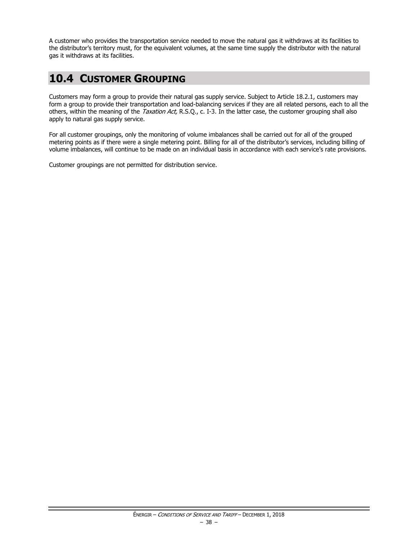A customer who provides the transportation service needed to move the natural gas it withdraws at its facilities to the distributor's territory must, for the equivalent volumes, at the same time supply the distributor with the natural gas it withdraws at its facilities.

# **10.4 CUSTOMER GROUPING**

Customers may form a group to provide their natural gas supply service. Subject to Article 18.2.1, customers may form a group to provide their transportation and load-balancing services if they are all related persons, each to all the others, within the meaning of the Taxation Act, R.S.Q., c. I-3. In the latter case, the customer grouping shall also apply to natural gas supply service.

For all customer groupings, only the monitoring of volume imbalances shall be carried out for all of the grouped metering points as if there were a single metering point. Billing for all of the distributor's services, including billing of volume imbalances, will continue to be made on an individual basis in accordance with each service's rate provisions.

Customer groupings are not permitted for distribution service.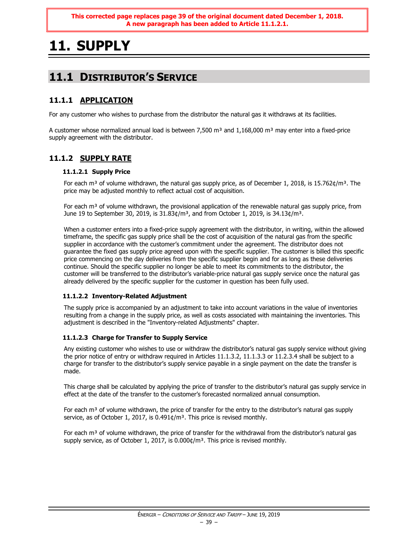**This corrected page replaces page 39 of the original document dated December 1, 2018. A new paragraph has been added to Article 11.1.2.1.**

# **11. SUPPLY**

# **11.1 DISTRIBUTOR'S SERVICE**

### **11.1.1 APPLICATION**

For any customer who wishes to purchase from the distributor the natural gas it withdraws at its facilities.

A customer whose normalized annual load is between 7,500  $m<sup>3</sup>$  and 1,168,000  $m<sup>3</sup>$  may enter into a fixed-price supply agreement with the distributor.

### **11.1.2 SUPPLY RATE**

### **11.1.2.1 Supply Price**

For each m<sup>3</sup> of volume withdrawn, the natural gas supply price, as of December 1, 2018, is 15.762¢/m<sup>3</sup>. The price may be adjusted monthly to reflect actual cost of acquisition.

For each  $m<sup>3</sup>$  of volume withdrawn, the provisional application of the renewable natural gas supply price, from June 19 to September 30, 2019, is  $31.83¢/m<sup>3</sup>$ , and from October 1, 2019, is  $34.13¢/m<sup>3</sup>$ .

When a customer enters into a fixed-price supply agreement with the distributor, in writing, within the allowed timeframe, the specific gas supply price shall be the cost of acquisition of the natural gas from the specific supplier in accordance with the customer's commitment under the agreement. The distributor does not guarantee the fixed gas supply price agreed upon with the specific supplier. The customer is billed this specific price commencing on the day deliveries from the specific supplier begin and for as long as these deliveries continue. Should the specific supplier no longer be able to meet its commitments to the distributor, the customer will be transferred to the distributor's variable-price natural gas supply service once the natural gas already delivered by the specific supplier for the customer in question has been fully used.

### **11.1.2.2 Inventory-Related Adjustment**

The supply price is accompanied by an adjustment to take into account variations in the value of inventories resulting from a change in the supply price, as well as costs associated with maintaining the inventories. This adjustment is described in the "Inventory-related Adjustments" chapter.

### **11.1.2.3 Charge for Transfer to Supply Service**

Any existing customer who wishes to use or withdraw the distributor's natural gas supply service without giving the prior notice of entry or withdraw required in Articles 11.1.3.2, 11.1.3.3 or 11.2.3.4 shall be subject to a charge for transfer to the distributor's supply service payable in a single payment on the date the transfer is made.

This charge shall be calculated by applying the price of transfer to the distributor's natural gas supply service in effect at the date of the transfer to the customer's forecasted normalized annual consumption.

For each  $m<sup>3</sup>$  of volume withdrawn, the price of transfer for the entry to the distributor's natural gas supply service, as of October 1, 2017, is 0.491¢/m<sup>3</sup>. This price is revised monthly.

For each  $m<sup>3</sup>$  of volume withdrawn, the price of transfer for the withdrawal from the distributor's natural gas supply service, as of October 1, 2017, is 0.000¢/m<sup>3</sup>. This price is revised monthly.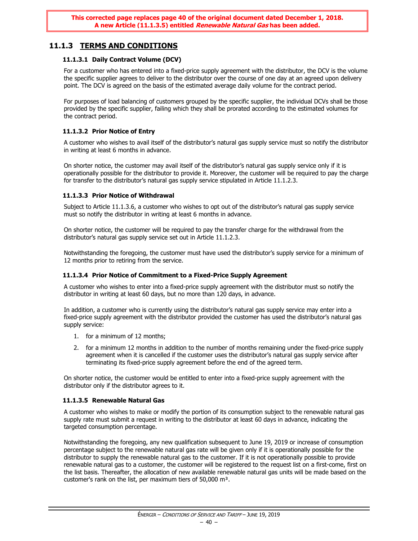# **11.1.3 TERMS AND CONDITIONS**

### **11.1.3.1 Daily Contract Volume (DCV)**

For a customer who has entered into a fixed-price supply agreement with the distributor, the DCV is the volume the specific supplier agrees to deliver to the distributor over the course of one day at an agreed upon delivery point. The DCV is agreed on the basis of the estimated average daily volume for the contract period.

For purposes of load balancing of customers grouped by the specific supplier, the individual DCVs shall be those provided by the specific supplier, failing which they shall be prorated according to the estimated volumes for the contract period.

### **11.1.3.2 Prior Notice of Entry**

A customer who wishes to avail itself of the distributor's natural gas supply service must so notify the distributor in writing at least 6 months in advance.

On shorter notice, the customer may avail itself of the distributor's natural gas supply service only if it is operationally possible for the distributor to provide it. Moreover, the customer will be required to pay the charge for transfer to the distributor's natural gas supply service stipulated in Article 11.1.2.3.

### **11.1.3.3 Prior Notice of Withdrawal**

Subject to Article 11.1.3.6, a customer who wishes to opt out of the distributor's natural gas supply service must so notify the distributor in writing at least 6 months in advance.

On shorter notice, the customer will be required to pay the transfer charge for the withdrawal from the distributor's natural gas supply service set out in Article 11.1.2.3.

Notwithstanding the foregoing, the customer must have used the distributor's supply service for a minimum of 12 months prior to retiring from the service.

### **11.1.3.4 Prior Notice of Commitment to a Fixed-Price Supply Agreement**

A customer who wishes to enter into a fixed-price supply agreement with the distributor must so notify the distributor in writing at least 60 days, but no more than 120 days, in advance.

In addition, a customer who is currently using the distributor's natural gas supply service may enter into a fixed-price supply agreement with the distributor provided the customer has used the distributor's natural gas supply service:

- 1. for a minimum of 12 months;
- 2. for a minimum 12 months in addition to the number of months remaining under the fixed-price supply agreement when it is cancelled if the customer uses the distributor's natural gas supply service after terminating its fixed-price supply agreement before the end of the agreed term.

On shorter notice, the customer would be entitled to enter into a fixed-price supply agreement with the distributor only if the distributor agrees to it.

### **11.1.3.5 Renewable Natural Gas**

A customer who wishes to make or modify the portion of its consumption subject to the renewable natural gas supply rate must submit a request in writing to the distributor at least 60 days in advance, indicating the targeted consumption percentage.

Notwithstanding the foregoing, any new qualification subsequent to June 19, 2019 or increase of consumption percentage subject to the renewable natural gas rate will be given only if it is operationally possible for the distributor to supply the renewable natural gas to the customer. If it is not operationally possible to provide renewable natural gas to a customer, the customer will be registered to the request list on a first-come, first on the list basis. Thereafter, the allocation of new available renewable natural gas units will be made based on the customer's rank on the list, per maximum tiers of 50,000 m<sup>3</sup>.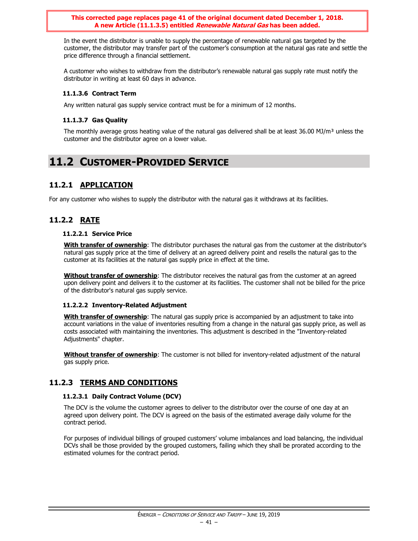**This corrected page replaces page 41 of the original document dated December 1, 2018. A new Article (11.1.3.5) entitled Renewable Natural Gas has been added.**

In the event the distributor is unable to supply the percentage of renewable natural gas targeted by the customer, the distributor may transfer part of the customer's consumption at the natural gas rate and settle the price difference through a financial settlement.

A customer who wishes to withdraw from the distributor's renewable natural gas supply rate must notify the distributor in writing at least 60 days in advance.

### **11.1.3.6 Contract Term**

Any written natural gas supply service contract must be for a minimum of 12 months.

### **11.1.3.7 Gas Quality**

The monthly average gross heating value of the natural gas delivered shall be at least  $36.00$  MJ/m<sup>3</sup> unless the customer and the distributor agree on a lower value.

# **11.2 CUSTOMER-PROVIDED SERVICE**

### **11.2.1 APPLICATION**

For any customer who wishes to supply the distributor with the natural gas it withdraws at its facilities.

# **11.2.2 RATE**

### **11.2.2.1 Service Price**

**With transfer of ownership**: The distributor purchases the natural gas from the customer at the distributor's natural gas supply price at the time of delivery at an agreed delivery point and resells the natural gas to the customer at its facilities at the natural gas supply price in effect at the time.

**Without transfer of ownership**: The distributor receives the natural gas from the customer at an agreed upon delivery point and delivers it to the customer at its facilities. The customer shall not be billed for the price of the distributor's natural gas supply service.

### **11.2.2.2 Inventory-Related Adjustment**

**With transfer of ownership**: The natural gas supply price is accompanied by an adjustment to take into account variations in the value of inventories resulting from a change in the natural gas supply price, as well as costs associated with maintaining the inventories. This adjustment is described in the "Inventory-related Adjustments" chapter.

**Without transfer of ownership**: The customer is not billed for inventory-related adjustment of the natural gas supply price.

### **11.2.3 TERMS AND CONDITIONS**

### **11.2.3.1 Daily Contract Volume (DCV)**

The DCV is the volume the customer agrees to deliver to the distributor over the course of one day at an agreed upon delivery point. The DCV is agreed on the basis of the estimated average daily volume for the contract period.

For purposes of individual billings of grouped customers' volume imbalances and load balancing, the individual DCVs shall be those provided by the grouped customers, failing which they shall be prorated according to the estimated volumes for the contract period.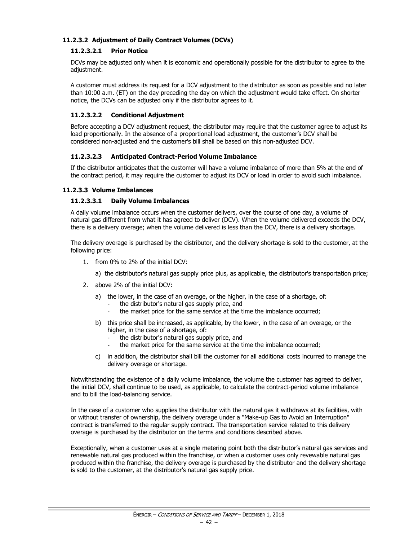### **11.2.3.2 Adjustment of Daily Contract Volumes (DCVs)**

### **11.2.3.2.1 Prior Notice**

DCVs may be adjusted only when it is economic and operationally possible for the distributor to agree to the adjustment.

A customer must address its request for a DCV adjustment to the distributor as soon as possible and no later than 10:00 a.m. (ET) on the day preceding the day on which the adjustment would take effect. On shorter notice, the DCVs can be adjusted only if the distributor agrees to it.

### **11.2.3.2.2 Conditional Adjustment**

Before accepting a DCV adjustment request, the distributor may require that the customer agree to adjust its load proportionally. In the absence of a proportional load adjustment, the customer's DCV shall be considered non-adjusted and the customer's bill shall be based on this non-adjusted DCV.

### **11.2.3.2.3 Anticipated Contract-Period Volume Imbalance**

If the distributor anticipates that the customer will have a volume imbalance of more than 5% at the end of the contract period, it may require the customer to adjust its DCV or load in order to avoid such imbalance.

#### **11.2.3.3 Volume Imbalances**

#### **11.2.3.3.1 Daily Volume Imbalances**

A daily volume imbalance occurs when the customer delivers, over the course of one day, a volume of natural gas different from what it has agreed to deliver (DCV). When the volume delivered exceeds the DCV, there is a delivery overage; when the volume delivered is less than the DCV, there is a delivery shortage.

The delivery overage is purchased by the distributor, and the delivery shortage is sold to the customer, at the following price:

- 1. from 0% to 2% of the initial DCV:
	- a) the distributor's natural gas supply price plus, as applicable, the distributor's transportation price;
- 2. above 2% of the initial DCV:
	- a) the lower, in the case of an overage, or the higher, in the case of a shortage, of:
		- the distributor's natural gas supply price, and
		- the market price for the same service at the time the imbalance occurred;
	- b) this price shall be increased, as applicable, by the lower, in the case of an overage, or the higher, in the case of a shortage, of:
		- the distributor's natural gas supply price, and
		- the market price for the same service at the time the imbalance occurred;
	- c) in addition, the distributor shall bill the customer for all additional costs incurred to manage the delivery overage or shortage.

Notwithstanding the existence of a daily volume imbalance, the volume the customer has agreed to deliver, the initial DCV, shall continue to be used, as applicable, to calculate the contract-period volume imbalance and to bill the load-balancing service.

In the case of a customer who supplies the distributor with the natural gas it withdraws at its facilities, with or without transfer of ownership, the delivery overage under a "Make-up Gas to Avoid an Interruption" contract is transferred to the regular supply contract. The transportation service related to this delivery overage is purchased by the distributor on the terms and conditions described above.

Exceptionally, when a customer uses at a single metering point both the distributor's natural gas services and renewable natural gas produced within the franchise, or when a customer uses only revewable natural gas produced within the franchise, the delivery overage is purchased by the distributor and the delivery shortage is sold to the customer, at the distributor's natural gas supply price.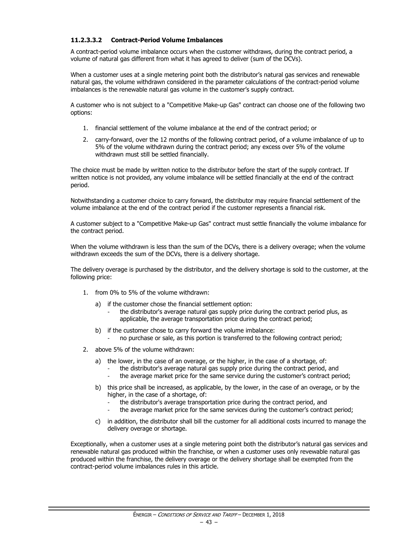### **11.2.3.3.2 Contract-Period Volume Imbalances**

A contract-period volume imbalance occurs when the customer withdraws, during the contract period, a volume of natural gas different from what it has agreed to deliver (sum of the DCVs).

When a customer uses at a single metering point both the distributor's natural gas services and renewable natural gas, the volume withdrawn considered in the parameter calculations of the contract-period volume imbalances is the renewable natural gas volume in the customer's supply contract.

A customer who is not subject to a "Competitive Make-up Gas" contract can choose one of the following two options:

- 1. financial settlement of the volume imbalance at the end of the contract period; or
- 2. carry-forward, over the 12 months of the following contract period, of a volume imbalance of up to 5% of the volume withdrawn during the contract period; any excess over 5% of the volume withdrawn must still be settled financially.

The choice must be made by written notice to the distributor before the start of the supply contract. If written notice is not provided, any volume imbalance will be settled financially at the end of the contract period.

Notwithstanding a customer choice to carry forward, the distributor may require financial settlement of the volume imbalance at the end of the contract period if the customer represents a financial risk.

A customer subject to a "Competitive Make-up Gas" contract must settle financially the volume imbalance for the contract period.

When the volume withdrawn is less than the sum of the DCVs, there is a delivery overage; when the volume withdrawn exceeds the sum of the DCVs, there is a delivery shortage.

The delivery overage is purchased by the distributor, and the delivery shortage is sold to the customer, at the following price:

- 1. from 0% to 5% of the volume withdrawn:
	- a) if the customer chose the financial settlement option:
		- the distributor's average natural gas supply price during the contract period plus, as applicable, the average transportation price during the contract period;
	- b) if the customer chose to carry forward the volume imbalance:
		- no purchase or sale, as this portion is transferred to the following contract period;
- 2. above 5% of the volume withdrawn:
	- a) the lower, in the case of an overage, or the higher, in the case of a shortage, of:
		- the distributor's average natural gas supply price during the contract period, and
		- the average market price for the same service during the customer's contract period;
	- b) this price shall be increased, as applicable, by the lower, in the case of an overage, or by the higher, in the case of a shortage, of:
		- the distributor's average transportation price during the contract period, and
		- the average market price for the same services during the customer's contract period;
	- c) in addition, the distributor shall bill the customer for all additional costs incurred to manage the delivery overage or shortage.

Exceptionally, when a customer uses at a single metering point both the distributor's natural gas services and renewable natural gas produced within the franchise, or when a customer uses only revewable natural gas produced within the franchise, the delivery overage or the delivery shortage shall be exempted from the contract-period volume imbalances rules in this article.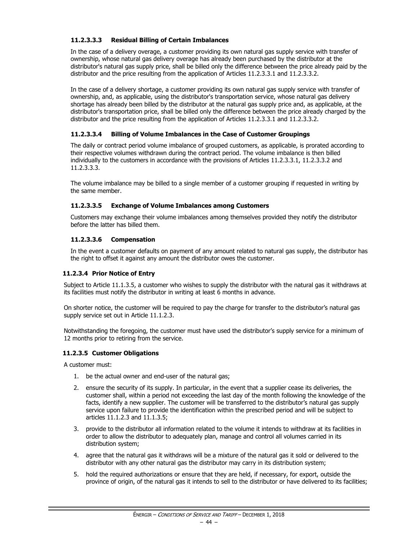### **11.2.3.3.3 Residual Billing of Certain Imbalances**

In the case of a delivery overage, a customer providing its own natural gas supply service with transfer of ownership, whose natural gas delivery overage has already been purchased by the distributor at the distributor's natural gas supply price, shall be billed only the difference between the price already paid by the distributor and the price resulting from the application of Articles 11.2.3.3.1 and 11.2.3.3.2.

In the case of a delivery shortage, a customer providing its own natural gas supply service with transfer of ownership, and, as applicable, using the distributor's transportation service, whose natural gas delivery shortage has already been billed by the distributor at the natural gas supply price and, as applicable, at the distributor's transportation price, shall be billed only the difference between the price already charged by the distributor and the price resulting from the application of Articles 11.2.3.3.1 and 11.2.3.3.2.

### **11.2.3.3.4 Billing of Volume Imbalances in the Case of Customer Groupings**

The daily or contract period volume imbalance of grouped customers, as applicable, is prorated according to their respective volumes withdrawn during the contract period. The volume imbalance is then billed individually to the customers in accordance with the provisions of Articles 11.2.3.3.1, 11.2.3.3.2 and 11.2.3.3.3.

The volume imbalance may be billed to a single member of a customer grouping if requested in writing by the same member.

### **11.2.3.3.5 Exchange of Volume Imbalances among Customers**

Customers may exchange their volume imbalances among themselves provided they notify the distributor before the latter has billed them.

### **11.2.3.3.6 Compensation**

In the event a customer defaults on payment of any amount related to natural gas supply, the distributor has the right to offset it against any amount the distributor owes the customer.

### **11.2.3.4 Prior Notice of Entry**

Subject to Article 11.1.3.5, a customer who wishes to supply the distributor with the natural gas it withdraws at its facilities must notify the distributor in writing at least 6 months in advance.

On shorter notice, the customer will be required to pay the charge for transfer to the distributor's natural gas supply service set out in Article 11.1.2.3.

Notwithstanding the foregoing, the customer must have used the distributor's supply service for a minimum of 12 months prior to retiring from the service.

### **11.2.3.5 Customer Obligations**

A customer must:

- 1. be the actual owner and end-user of the natural gas;
- 2. ensure the security of its supply. In particular, in the event that a supplier cease its deliveries, the customer shall, within a period not exceeding the last day of the month following the knowledge of the facts, identify a new supplier. The customer will be transferred to the distributor's natural gas supply service upon failure to provide the identification within the prescribed period and will be subject to articles 11.1.2.3 and 11.1.3.5;
- 3. provide to the distributor all information related to the volume it intends to withdraw at its facilities in order to allow the distributor to adequately plan, manage and control all volumes carried in its distribution system;
- 4. agree that the natural gas it withdraws will be a mixture of the natural gas it sold or delivered to the distributor with any other natural gas the distributor may carry in its distribution system;
- 5. hold the required authorizations or ensure that they are held, if necessary, for export, outside the province of origin, of the natural gas it intends to sell to the distributor or have delivered to its facilities;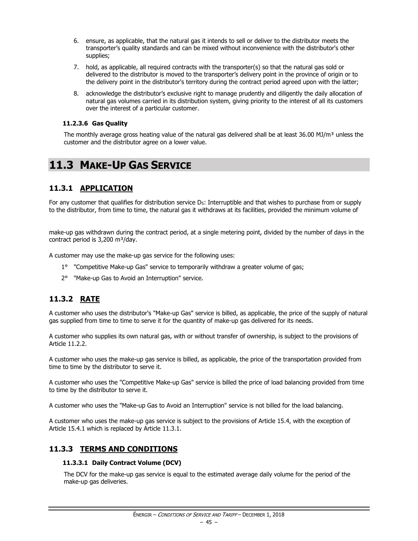- 6. ensure, as applicable, that the natural gas it intends to sell or deliver to the distributor meets the transporter's quality standards and can be mixed without inconvenience with the distributor's other supplies;
- 7. hold, as applicable, all required contracts with the transporter(s) so that the natural gas sold or delivered to the distributor is moved to the transporter's delivery point in the province of origin or to the delivery point in the distributor's territory during the contract period agreed upon with the latter;
- 8. acknowledge the distributor's exclusive right to manage prudently and diligently the daily allocation of natural gas volumes carried in its distribution system, giving priority to the interest of all its customers over the interest of a particular customer.

### **11.2.3.6 Gas Quality**

The monthly average gross heating value of the natural gas delivered shall be at least 36.00 MJ/m<sup>3</sup> unless the customer and the distributor agree on a lower value.

# **11.3 MAKE-UP GAS SERVICE**

# **11.3.1 APPLICATION**

For any customer that qualifies for distribution service D<sub>5</sub>: Interruptible and that wishes to purchase from or supply to the distributor, from time to time, the natural gas it withdraws at its facilities, provided the minimum volume of

make-up gas withdrawn during the contract period, at a single metering point, divided by the number of days in the contract period is  $3,200 \text{ m}^3/\text{day}$ .

A customer may use the make-up gas service for the following uses:

- 1° "Competitive Make-up Gas" service to temporarily withdraw a greater volume of gas;
- 2° "Make-up Gas to Avoid an Interruption" service.

# **11.3.2 RATE**

A customer who uses the distributor's "Make-up Gas" service is billed, as applicable, the price of the supply of natural gas supplied from time to time to serve it for the quantity of make-up gas delivered for its needs.

A customer who supplies its own natural gas, with or without transfer of ownership, is subject to the provisions of Article 11.2.2.

A customer who uses the make-up gas service is billed, as applicable, the price of the transportation provided from time to time by the distributor to serve it.

A customer who uses the "Competitive Make-up Gas" service is billed the price of load balancing provided from time to time by the distributor to serve it.

A customer who uses the "Make-up Gas to Avoid an Interruption" service is not billed for the load balancing.

A customer who uses the make-up gas service is subject to the provisions of Article 15.4, with the exception of Article 15.4.1 which is replaced by Article 11.3.1.

# **11.3.3 TERMS AND CONDITIONS**

### **11.3.3.1 Daily Contract Volume (DCV)**

The DCV for the make-up gas service is equal to the estimated average daily volume for the period of the make-up gas deliveries.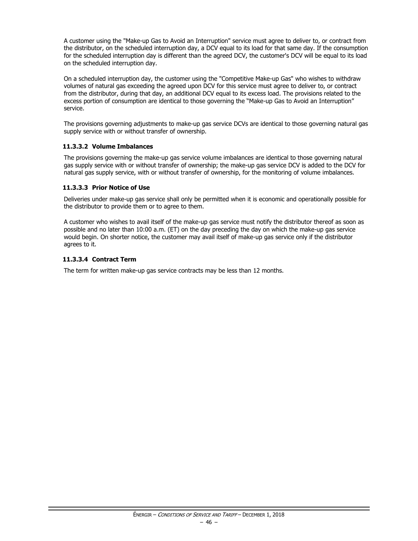A customer using the "Make-up Gas to Avoid an Interruption" service must agree to deliver to, or contract from the distributor, on the scheduled interruption day, a DCV equal to its load for that same day. If the consumption for the scheduled interruption day is different than the agreed DCV, the customer's DCV will be equal to its load on the scheduled interruption day.

On a scheduled interruption day, the customer using the "Competitive Make-up Gas" who wishes to withdraw volumes of natural gas exceeding the agreed upon DCV for this service must agree to deliver to, or contract from the distributor, during that day, an additional DCV equal to its excess load. The provisions related to the excess portion of consumption are identical to those governing the "Make-up Gas to Avoid an Interruption" service.

The provisions governing adjustments to make-up gas service DCVs are identical to those governing natural gas supply service with or without transfer of ownership.

### **11.3.3.2 Volume Imbalances**

The provisions governing the make-up gas service volume imbalances are identical to those governing natural gas supply service with or without transfer of ownership; the make-up gas service DCV is added to the DCV for natural gas supply service, with or without transfer of ownership, for the monitoring of volume imbalances.

### **11.3.3.3 Prior Notice of Use**

Deliveries under make-up gas service shall only be permitted when it is economic and operationally possible for the distributor to provide them or to agree to them.

A customer who wishes to avail itself of the make-up gas service must notify the distributor thereof as soon as possible and no later than 10:00 a.m. (ET) on the day preceding the day on which the make-up gas service would begin. On shorter notice, the customer may avail itself of make-up gas service only if the distributor agrees to it.

### **11.3.3.4 Contract Term**

The term for written make-up gas service contracts may be less than 12 months.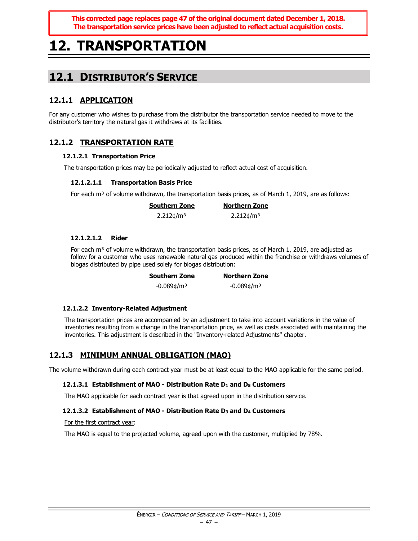**This corrected page replaces page 47 of the original document dated December 1, 2018. The transportation service prices have been adjusted to reflect actual acquisition costs.**

# **12. TRANSPORTATION**

# **12.1 DISTRIBUTOR'S SERVICE**

# **12.1.1 APPLICATION**

For any customer who wishes to purchase from the distributor the transportation service needed to move to the distributor's territory the natural gas it withdraws at its facilities.

# **12.1.2 TRANSPORTATION RATE**

### **12.1.2.1 Transportation Price**

The transportation prices may be periodically adjusted to reflect actual cost of acquisition.

### **12.1.2.1.1 Transportation Basis Price**

For each  $m<sup>3</sup>$  of volume withdrawn, the transportation basis prices, as of March 1, 2019, are as follows:

| Southern Zone        | <b>Northern Zone</b> |
|----------------------|----------------------|
| $2.212 \text{C/m}^3$ | $2.212 \text{C/m}^3$ |

### **12.1.2.1.2 Rider**

For each m<sup>3</sup> of volume withdrawn, the transportation basis prices, as of March 1, 2019, are adjusted as follow for a customer who uses renewable natural gas produced within the franchise or withdraws volumes of biogas distributed by pipe used solely for biogas distribution:

| Southern Zone             | <b>Northern Zone</b>      |
|---------------------------|---------------------------|
| $-0.089$ ¢/m <sup>3</sup> | $-0.089$ ¢/m <sup>3</sup> |

### **12.1.2.2 Inventory-Related Adjustment**

The transportation prices are accompanied by an adjustment to take into account variations in the value of inventories resulting from a change in the transportation price, as well as costs associated with maintaining the inventories. This adjustment is described in the "Inventory-related Adjustments" chapter.

### **12.1.3 MINIMUM ANNUAL OBLIGATION (MAO)**

The volume withdrawn during each contract year must be at least equal to the MAO applicable for the same period.

### **12.1.3.1 Establishment of MAO - Distribution Rate D<sup>1</sup> and D<sup>5</sup> Customers**

The MAO applicable for each contract year is that agreed upon in the distribution service.

### **12.1.3.2 Establishment of MAO - Distribution Rate D<sup>3</sup> and D<sup>4</sup> Customers**

### For the first contract year:

The MAO is equal to the projected volume, agreed upon with the customer, multiplied by 78%.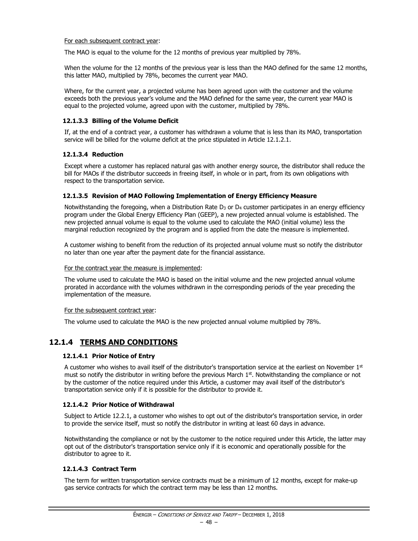#### For each subsequent contract year:

The MAO is equal to the volume for the 12 months of previous year multiplied by 78%.

When the volume for the 12 months of the previous year is less than the MAO defined for the same 12 months, this latter MAO, multiplied by 78%, becomes the current year MAO.

Where, for the current year, a projected volume has been agreed upon with the customer and the volume exceeds both the previous year's volume and the MAO defined for the same year, the current year MAO is equal to the projected volume, agreed upon with the customer, multiplied by 78%.

### **12.1.3.3 Billing of the Volume Deficit**

If, at the end of a contract year, a customer has withdrawn a volume that is less than its MAO, transportation service will be billed for the volume deficit at the price stipulated in Article 12.1.2.1.

### **12.1.3.4 Reduction**

Except where a customer has replaced natural gas with another energy source, the distributor shall reduce the bill for MAOs if the distributor succeeds in freeing itself, in whole or in part, from its own obligations with respect to the transportation service.

### **12.1.3.5 Revision of MAO Following Implementation of Energy Efficiency Measure**

Notwithstanding the foregoing, when a Distribution Rate  $D_3$  or  $D_4$  customer participates in an energy efficiency program under the Global Energy Efficiency Plan (GEEP), a new projected annual volume is established. The new projected annual volume is equal to the volume used to calculate the MAO (initial volume) less the marginal reduction recognized by the program and is applied from the date the measure is implemented.

A customer wishing to benefit from the reduction of its projected annual volume must so notify the distributor no later than one year after the payment date for the financial assistance.

#### For the contract year the measure is implemented:

The volume used to calculate the MAO is based on the initial volume and the new projected annual volume prorated in accordance with the volumes withdrawn in the corresponding periods of the year preceding the implementation of the measure.

#### For the subsequent contract year:

The volume used to calculate the MAO is the new projected annual volume multiplied by 78%.

# **12.1.4 TERMS AND CONDITIONS**

### **12.1.4.1 Prior Notice of Entry**

A customer who wishes to avail itself of the distributor's transportation service at the earliest on November  $1<sup>st</sup>$ must so notify the distributor in writing before the previous March  $1<sup>st</sup>$ . Notwithstanding the compliance or not by the customer of the notice required under this Article, a customer may avail itself of the distributor's transportation service only if it is possible for the distributor to provide it.

### **12.1.4.2 Prior Notice of Withdrawal**

Subject to Article 12.2.1, a customer who wishes to opt out of the distributor's transportation service, in order to provide the service itself, must so notify the distributor in writing at least 60 days in advance.

Notwithstanding the compliance or not by the customer to the notice required under this Article, the latter may opt out of the distributor's transportation service only if it is economic and operationally possible for the distributor to agree to it.

### **12.1.4.3 Contract Term**

The term for written transportation service contracts must be a minimum of 12 months, except for make-up gas service contracts for which the contract term may be less than 12 months.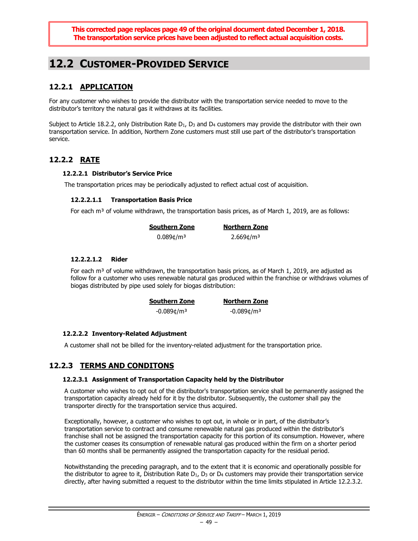**This corrected page replaces page 49 of the original document dated December 1, 2018. The transportation service prices have been adjusted to reflect actual acquisition costs.**

# **12.2 CUSTOMER-PROVIDED SERVICE**

# **12.2.1 APPLICATION**

For any customer who wishes to provide the distributor with the transportation service needed to move to the distributor's territory the natural gas it withdraws at its facilities.

Subject to Article 18.2.2, only Distribution Rate  $D_1$ ,  $D_3$  and  $D_4$  customers may provide the distributor with their own transportation service. In addition, Northern Zone customers must still use part of the distributor's transportation service.

# **12.2.2 RATE**

### **12.2.2.1 Distributor's Service Price**

The transportation prices may be periodically adjusted to reflect actual cost of acquisition.

### **12.2.2.1.1 Transportation Basis Price**

For each  $m<sup>3</sup>$  of volume withdrawn, the transportation basis prices, as of March 1, 2019, are as follows:

| <b>Southern Zone</b>     | <b>Northern Zone</b>     |
|--------------------------|--------------------------|
| $0.089$ ¢/m <sup>3</sup> | $2.669$ ¢/m <sup>3</sup> |

### **12.2.2.1.2 Rider**

For each m<sup>3</sup> of volume withdrawn, the transportation basis prices, as of March 1, 2019, are adjusted as follow for a customer who uses renewable natural gas produced within the franchise or withdraws volumes of biogas distributed by pipe used solely for biogas distribution:

| <b>Southern Zone</b>      | <b>Northern Zone</b>      |
|---------------------------|---------------------------|
| $-0.089$ ¢/m <sup>3</sup> | $-0.089$ ¢/m <sup>3</sup> |

### **12.2.2.2 Inventory-Related Adjustment**

A customer shall not be billed for the inventory-related adjustment for the transportation price.

### **12.2.3 TERMS AND CONDITONS**

### **12.2.3.1 Assignment of Transportation Capacity held by the Distributor**

A customer who wishes to opt out of the distributor's transportation service shall be permanently assigned the transportation capacity already held for it by the distributor. Subsequently, the customer shall pay the transporter directly for the transportation service thus acquired.

Exceptionally, however, a customer who wishes to opt out, in whole or in part, of the distributor's transportation service to contract and consume renewable natural gas produced within the distributor's franchise shall not be assigned the transportation capacity for this portion of its consumption. However, where the customer ceases its consumption of renewable natural gas produced within the firm on a shorter period than 60 months shall be permanently assigned the transportation capacity for the residual period.

Notwithstanding the preceding paragraph, and to the extent that it is economic and operationally possible for the distributor to agree to it, Distribution Rate  $D_1$ ,  $D_3$  or  $D_4$  customers may provide their transportation service directly, after having submitted a request to the distributor within the time limits stipulated in Article 12.2.3.2.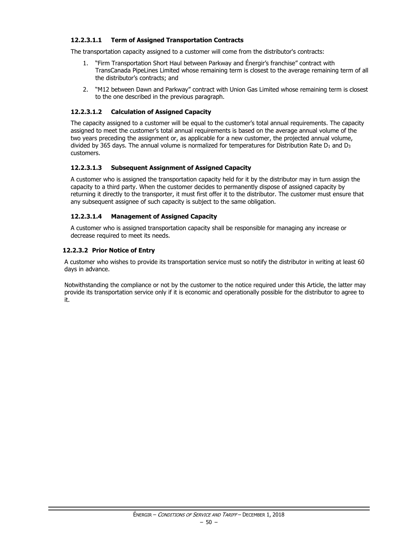### **12.2.3.1.1 Term of Assigned Transportation Contracts**

The transportation capacity assigned to a customer will come from the distributor's contracts:

- 1. "Firm Transportation Short Haul between Parkway and Énergir's franchise" contract with TransCanada PipeLines Limited whose remaining term is closest to the average remaining term of all the distributor's contracts; and
- 2. "M12 between Dawn and Parkway" contract with Union Gas Limited whose remaining term is closest to the one described in the previous paragraph.

### **12.2.3.1.2 Calculation of Assigned Capacity**

The capacity assigned to a customer will be equal to the customer's total annual requirements. The capacity assigned to meet the customer's total annual requirements is based on the average annual volume of the two years preceding the assignment or, as applicable for a new customer, the projected annual volume, divided by 365 days. The annual volume is normalized for temperatures for Distribution Rate  $D_1$  and  $D_3$ customers.

### **12.2.3.1.3 Subsequent Assignment of Assigned Capacity**

A customer who is assigned the transportation capacity held for it by the distributor may in turn assign the capacity to a third party. When the customer decides to permanently dispose of assigned capacity by returning it directly to the transporter, it must first offer it to the distributor. The customer must ensure that any subsequent assignee of such capacity is subject to the same obligation.

### **12.2.3.1.4 Management of Assigned Capacity**

A customer who is assigned transportation capacity shall be responsible for managing any increase or decrease required to meet its needs.

### **12.2.3.2 Prior Notice of Entry**

A customer who wishes to provide its transportation service must so notify the distributor in writing at least 60 days in advance.

Notwithstanding the compliance or not by the customer to the notice required under this Article, the latter may provide its transportation service only if it is economic and operationally possible for the distributor to agree to it.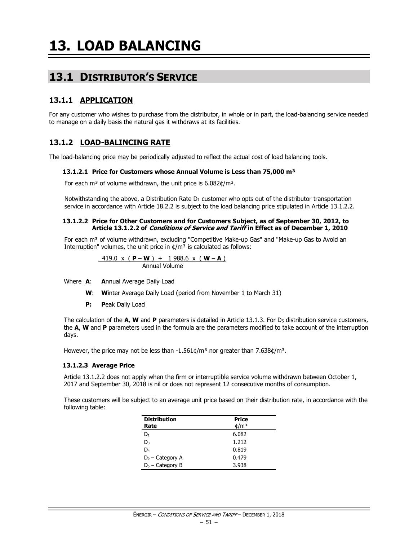# **13.1 DISTRIBUTOR'S SERVICE**

# **13.1.1 APPLICATION**

For any customer who wishes to purchase from the distributor, in whole or in part, the load-balancing service needed to manage on a daily basis the natural gas it withdraws at its facilities.

# **13.1.2 LOAD-BALINCING RATE**

The load-balancing price may be periodically adjusted to reflect the actual cost of load balancing tools.

### **13.1.2.1 Price for Customers whose Annual Volume is Less than 75,000 m³**

For each m<sup>3</sup> of volume withdrawn, the unit price is  $6.082 \text{C/m}^3$ .

Notwithstanding the above, a Distribution Rate  $D_1$  customer who opts out of the distributor transportation service in accordance with Article 18.2.2 is subject to the load balancing price stipulated in Article 13.1.2.2.

#### **13.1.2.2 Price for Other Customers and for Customers Subject, as of September 30, 2012, to Article 13.1.2.2 of Conditions of Service and Tariff in Effect as of December 1, 2010**

For each  $m<sup>3</sup>$  of volume withdrawn, excluding "Competitive Make-up Gas" and "Make-up Gas to Avoid an Interruption" volumes, the unit price in  $\phi/m^3$  is calculated as follows:

$$
\frac{419.0 \times (P-W) + 1988.6 \times (W-A)}{Annual Volume}
$$

Where **A**: **A**nnual Average Daily Load

- **W**: **W**inter Average Daily Load (period from November 1 to March 31)
- **P: P**eak Daily Load

The calculation of the **A, W** and **P** parameters is detailed in Article 13.1.3. For D<sub>5</sub> distribution service customers, the **A**, **W** and **P** parameters used in the formula are the parameters modified to take account of the interruption days.

However, the price may not be less than  $-1.561¢/m<sup>3</sup>$  nor greater than 7.638¢/m<sup>3</sup>.

### **13.1.2.3 Average Price**

Article 13.1.2.2 does not apply when the firm or interruptible service volume withdrawn between October 1, 2017 and September 30, 2018 is nil or does not represent 12 consecutive months of consumption.

These customers will be subject to an average unit price based on their distribution rate, in accordance with the following table:

| <b>Distribution</b> | <b>Price</b>    |
|---------------------|-----------------|
| Rate                | $\frac{d}{m^3}$ |
| D1                  | 6.082           |
| D <sub>3</sub>      | 1.212           |
| D4                  | 0.819           |
| $D_5$ – Category A  | 0.479           |
| $D_5$ – Category B  | 3.938           |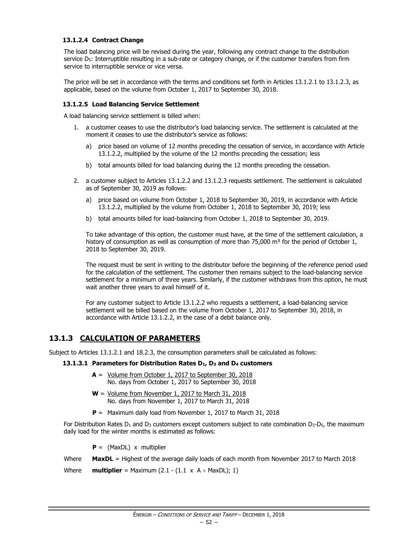### **13.1.2.4 Contract Change**

The load balancing price will be revised during the year, following any contract change to the distribution service D<sub>5</sub>: Interruptible resulting in a sub-rate or category change, or if the customer transfers from firm service to interruptible service or vice versa.

The price will be set in accordance with the terms and conditions set forth in Articles 13.1.2.1 to 13.1.2.3, as applicable, based on the volume from October 1, 2017 to September 30, 2018.

### **13.1.2.5 Load Balancing Service Settlement**

A load balancing service settlement is billed when:

- 1. a customer ceases to use the distributor's load balancing service. The settlement is calculated at the moment it ceases to use the distributor's service as follows:
	- a) price based on volume of 12 months preceding the cessation of service, in accordance with Article 13.1.2.2, multiplied by the volume of the 12 months preceding the cessation; less
	- b) total amounts billed for load balancing during the 12 months preceding the cessation.
- 2. a customer subject to Articles 13.1.2.2 and 13.1.2.3 requests settlement. The settlement is calculated as of September 30, 2019 as follows:
	- a) price based on volume from October 1, 2018 to September 30, 2019, in accordance with Article 13.1.2.2, multiplied by the volume from October 1, 2018 to September 30, 2019; less
	- b) total amounts billed for load-balancing from October 1, 2018 to September 30, 2019.

To take advantage of this option, the customer must have, at the time of the settlement calculation, a history of consumption as well as consumption of more than 75,000  $\text{m}^3$  for the period of October 1, 2018 to September 30, 2019.

The request must be sent in writing to the distributor before the beginning of the reference period used for the calculation of the settlement. The customer then remains subject to the load-balancing service settlement for a minimum of three years. Similarly, if the customer withdraws from this option, he must wait another three years to avail himself of it.

For any customer subject to Article 13.1.2.2 who requests a settlement, a load-balancing service settlement will be billed based on the volume from October 1, 2017 to September 30, 2018, in accordance with Article 13.1.2.2, in the case of a debit balance only.

# **13.1.3 CALCULATION OF PARAMETERS**

Subject to Articles 13.1.2.1 and 18.2.3, the consumption parameters shall be calculated as follows:

### **13.1.3.1 Parameters for Distribution Rates D1, D<sup>3</sup> and D<sup>4</sup> customers**

- **A** = Volume from October 1, 2017 to September 30, 2018 No. days from October 1, 2017 to September 30, 2018
- **W** = Volume from November 1, 2017 to March 31, 2018 No. days from November 1, 2017 to March 31, 2018
- **P** = Maximum daily load from November 1, 2017 to March 31, 2018

For Distribution Rates  $D_1$  and  $D_3$  customers except customers subject to rate combination  $D_3$ - $D_5$ , the maximum daily load for the winter months is estimated as follows:

**P** = (MaxDL) x multiplier

Where **MaxDL** = Highest of the average daily loads of each month from November 2017 to March 2018

Where **multiplier** = Maximum  $(2.1 - (1.1 \times A + \text{MaxDL}); 1)$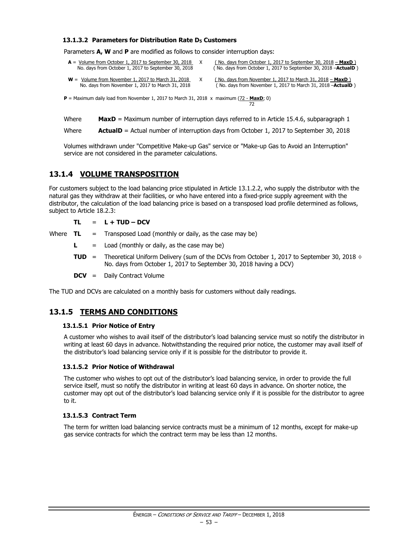#### **13.1.3.2 Parameters for Distribution Rate D<sup>5</sup> Customers**

Parameters **A, W** and **P** are modified as follows to consider interruption days:

| $A =$ Volume from October 1, 2017 to September 30, 2018<br>No. days from October 1, 2017 to September 30, 2018 | (No. days from October 1, 2017 to September 30, 2018 - MaxD)<br>(No. days from October 1, 2017 to September 30, 2018 - <b>ActualD</b> ) |
|----------------------------------------------------------------------------------------------------------------|-----------------------------------------------------------------------------------------------------------------------------------------|
| $W =$ Volume from November 1, 2017 to March 31, 2018<br>No. days from November 1, 2017 to March 31, 2018       | (No. days from November 1, 2017 to March 31, 2018 – MaxD)<br>(No. days from November 1, 2017 to March 31, 2018 - <b>ActualD</b> )       |

72

 $P =$  Maximum daily load from November 1, 2017 to March 31, 2018 x maximum  $(72 -$ **MaxD**; 0)

Where **MaxD** = Maximum number of interruption days referred to in Article 15.4.6, subparagraph 1

Where **ActualD** = Actual number of interruption days from October 1, 2017 to September 30, 2018

Volumes withdrawn under "Competitive Make-up Gas" service or "Make-up Gas to Avoid an Interruption" service are not considered in the parameter calculations.

### **13.1.4 VOLUME TRANSPOSITION**

For customers subject to the load balancing price stipulated in Article 13.1.2.2, who supply the distributor with the natural gas they withdraw at their facilities, or who have entered into a fixed-price supply agreement with the distributor, the calculation of the load balancing price is based on a transposed load profile determined as follows, subject to Article 18.2.3:

 $TL = L + TUD - DCV$ 

Where  $TL = Transposed Load (monthly or daily, as the case may be)$ 

- $\mathsf{L}$  = Load (monthly or daily, as the case may be)
- **TUD** = Theoretical Uniform Delivery (sum of the DCVs from October 1, 2017 to September 30, 2018 ÷ No. days from October 1, 2017 to September 30, 2018 having a DCV)
- **DCV** = Daily Contract Volume

The TUD and DCVs are calculated on a monthly basis for customers without daily readings.

### **13.1.5 TERMS AND CONDITIONS**

#### **13.1.5.1 Prior Notice of Entry**

A customer who wishes to avail itself of the distributor's load balancing service must so notify the distributor in writing at least 60 days in advance. Notwithstanding the required prior notice, the customer may avail itself of the distributor's load balancing service only if it is possible for the distributor to provide it.

#### **13.1.5.2 Prior Notice of Withdrawal**

The customer who wishes to opt out of the distributor's load balancing service, in order to provide the full service itself, must so notify the distributor in writing at least 60 days in advance. On shorter notice, the customer may opt out of the distributor's load balancing service only if it is possible for the distributor to agree to it.

### **13.1.5.3 Contract Term**

The term for written load balancing service contracts must be a minimum of 12 months, except for make-up gas service contracts for which the contract term may be less than 12 months.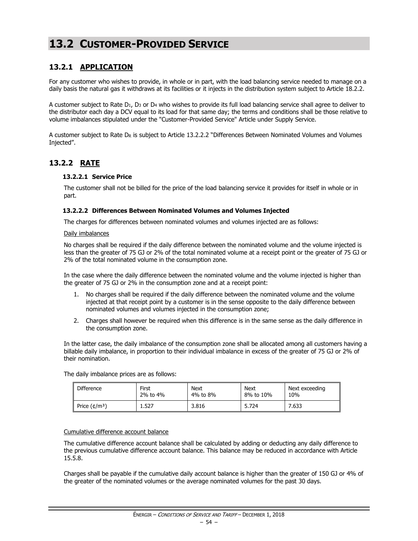# **13.2 CUSTOMER-PROVIDED SERVICE**

# **13.2.1 APPLICATION**

For any customer who wishes to provide, in whole or in part, with the load balancing service needed to manage on a daily basis the natural gas it withdraws at its facilities or it injects in the distribution system subject to Article 18.2.2.

A customer subject to Rate  $D_1$ ,  $D_3$  or  $D_4$  who wishes to provide its full load balancing service shall agree to deliver to the distributor each day a DCV equal to its load for that same day; the terms and conditions shall be those relative to volume imbalances stipulated under the "Customer-Provided Service" Article under Supply Service.

A customer subject to Rate D<sup>R</sup> is subject to Article 13.2.2.2 "Differences Between Nominated Volumes and Volumes Injected".

### **13.2.2 RATE**

### **13.2.2.1 Service Price**

The customer shall not be billed for the price of the load balancing service it provides for itself in whole or in part.

#### **13.2.2.2 Differences Between Nominated Volumes and Volumes Injected**

The charges for differences between nominated volumes and volumes injected are as follows:

#### Daily imbalances

No charges shall be required if the daily difference between the nominated volume and the volume injected is less than the greater of 75 GJ or 2% of the total nominated volume at a receipt point or the greater of 75 GJ or 2% of the total nominated volume in the consumption zone.

In the case where the daily difference between the nominated volume and the volume injected is higher than the greater of 75 GJ or 2% in the consumption zone and at a receipt point:

- 1. No charges shall be required if the daily difference between the nominated volume and the volume injected at that receipt point by a customer is in the sense opposite to the daily difference between nominated volumes and volumes injected in the consumption zone;
- 2. Charges shall however be required when this difference is in the same sense as the daily difference in the consumption zone.

In the latter case, the daily imbalance of the consumption zone shall be allocated among all customers having a billable daily imbalance, in proportion to their individual imbalance in excess of the greater of 75 GJ or 2% of their nomination.

The daily imbalance prices are as follows:

| <b>Difference</b>       | First    | <b>Next</b> | Next      | Next exceeding |  |
|-------------------------|----------|-------------|-----------|----------------|--|
|                         | 2% to 4% | 4% to 8%    | 8% to 10% | 10%            |  |
| Price $(\frac{t}{m^3})$ | 1.527    | 3.816       | 5.724     | 7.633          |  |

#### Cumulative difference account balance

The cumulative difference account balance shall be calculated by adding or deducting any daily difference to the previous cumulative difference account balance. This balance may be reduced in accordance with Article 15.5.8.

Charges shall be payable if the cumulative daily account balance is higher than the greater of 150 GJ or 4% of the greater of the nominated volumes or the average nominated volumes for the past 30 days.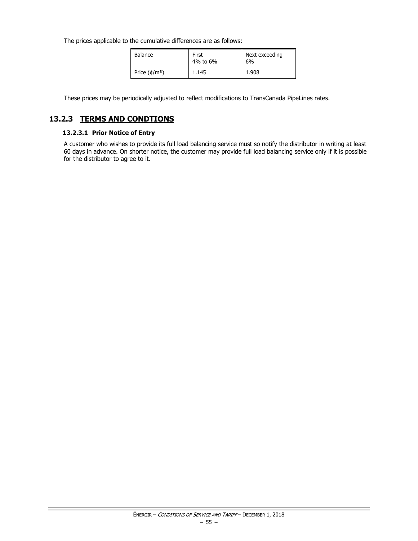The prices applicable to the cumulative differences are as follows:

| Balance            | First<br>4% to 6% | Next exceeding<br>6% |
|--------------------|-------------------|----------------------|
| Price $(\phi/m^3)$ | 1.145             | 1.908                |

These prices may be periodically adjusted to reflect modifications to TransCanada PipeLines rates.

# **13.2.3 TERMS AND CONDTIONS**

### **13.2.3.1 Prior Notice of Entry**

A customer who wishes to provide its full load balancing service must so notify the distributor in writing at least 60 days in advance. On shorter notice, the customer may provide full load balancing service only if it is possible for the distributor to agree to it.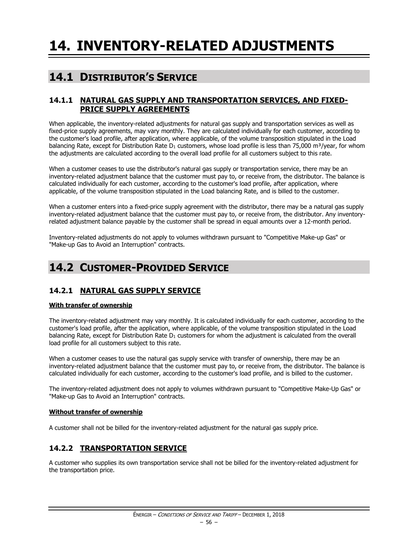# **14.1 DISTRIBUTOR'S SERVICE**

### **14.1.1 NATURAL GAS SUPPLY AND TRANSPORTATION SERVICES, AND FIXED-PRICE SUPPLY AGREEMENTS**

When applicable, the inventory-related adjustments for natural gas supply and transportation services as well as fixed-price supply agreements, may vary monthly. They are calculated individually for each customer, according to the customer's load profile, after application, where applicable, of the volume transposition stipulated in the Load balancing Rate, except for Distribution Rate  $D_1$  customers, whose load profile is less than 75,000 m<sup>3</sup>/year, for whom the adjustments are calculated according to the overall load profile for all customers subject to this rate.

When a customer ceases to use the distributor's natural gas supply or transportation service, there may be an inventory-related adjustment balance that the customer must pay to, or receive from, the distributor. The balance is calculated individually for each customer, according to the customer's load profile, after application, where applicable, of the volume transposition stipulated in the Load balancing Rate, and is billed to the customer.

When a customer enters into a fixed-price supply agreement with the distributor, there may be a natural gas supply inventory-related adjustment balance that the customer must pay to, or receive from, the distributor. Any inventoryrelated adjustment balance payable by the customer shall be spread in equal amounts over a 12-month period.

Inventory-related adjustments do not apply to volumes withdrawn pursuant to "Competitive Make-up Gas" or "Make-up Gas to Avoid an Interruption" contracts.

# **14.2 CUSTOMER-PROVIDED SERVICE**

# **14.2.1 NATURAL GAS SUPPLY SERVICE**

### **With transfer of ownership**

The inventory-related adjustment may vary monthly. It is calculated individually for each customer, according to the customer's load profile, after the application, where applicable, of the volume transposition stipulated in the Load balancing Rate, except for Distribution Rate D<sub>1</sub> customers for whom the adjustment is calculated from the overall load profile for all customers subject to this rate.

When a customer ceases to use the natural gas supply service with transfer of ownership, there may be an inventory-related adjustment balance that the customer must pay to, or receive from, the distributor. The balance is calculated individually for each customer, according to the customer's load profile, and is billed to the customer.

The inventory-related adjustment does not apply to volumes withdrawn pursuant to "Competitive Make-Up Gas" or "Make-up Gas to Avoid an Interruption" contracts.

### **Without transfer of ownership**

A customer shall not be billed for the inventory-related adjustment for the natural gas supply price.

# **14.2.2 TRANSPORTATION SERVICE**

A customer who supplies its own transportation service shall not be billed for the inventory-related adjustment for the transportation price.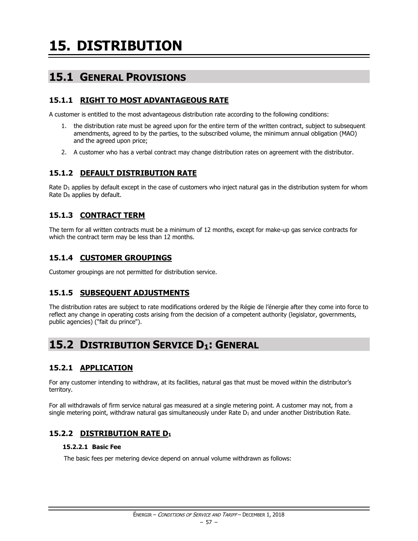# **15.1 GENERAL PROVISIONS**

# **15.1.1 RIGHT TO MOST ADVANTAGEOUS RATE**

A customer is entitled to the most advantageous distribution rate according to the following conditions:

- 1. the distribution rate must be agreed upon for the entire term of the written contract, subject to subsequent amendments, agreed to by the parties, to the subscribed volume, the minimum annual obligation (MAO) and the agreed upon price;
- 2. A customer who has a verbal contract may change distribution rates on agreement with the distributor.

# **15.1.2 DEFAULT DISTRIBUTION RATE**

Rate  $D_1$  applies by default except in the case of customers who inject natural gas in the distribution system for whom Rate D<sub>R</sub> applies by default.

# **15.1.3 CONTRACT TERM**

The term for all written contracts must be a minimum of 12 months, except for make-up gas service contracts for which the contract term may be less than 12 months.

# **15.1.4 CUSTOMER GROUPINGS**

Customer groupings are not permitted for distribution service.

# **15.1.5 SUBSEQUENT ADJUSTMENTS**

The distribution rates are subject to rate modifications ordered by the Régie de l'énergie after they come into force to reflect any change in operating costs arising from the decision of a competent authority (legislator, governments, public agencies) ("fait du prince").

# **15.2 DISTRIBUTION SERVICE D1: GENERAL**

# **15.2.1 APPLICATION**

For any customer intending to withdraw, at its facilities, natural gas that must be moved within the distributor's territory.

For all withdrawals of firm service natural gas measured at a single metering point. A customer may not, from a single metering point, withdraw natural gas simultaneously under Rate  $D_1$  and under another Distribution Rate.

# **15.2.2 DISTRIBUTION RATE D<sup>1</sup>**

### **15.2.2.1 Basic Fee**

The basic fees per metering device depend on annual volume withdrawn as follows: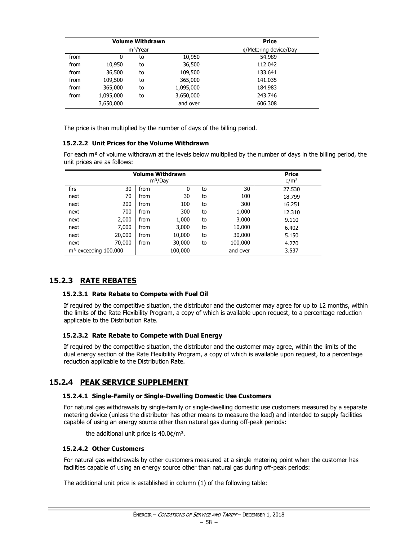|      |           | <b>Volume Withdrawn</b> | <b>Price</b>          |         |
|------|-----------|-------------------------|-----------------------|---------|
|      |           | m <sup>3</sup> /Year    | ¢/Metering device/Day |         |
| from | 0         | to                      | 10,950                | 54.989  |
| from | 10,950    | to                      | 36,500                | 112.042 |
| from | 36,500    | to                      | 109,500               | 133.641 |
| from | 109,500   | to                      | 365,000               | 141.035 |
| from | 365,000   | to                      | 1,095,000             | 184.983 |
| from | 1,095,000 | to                      | 3,650,000             | 243.746 |
|      | 3,650,000 |                         | and over              | 606.308 |

The price is then multiplied by the number of days of the billing period.

### **15.2.2.2 Unit Prices for the Volume Withdrawn**

For each  $m<sup>3</sup>$  of volume withdrawn at the levels below multiplied by the number of days in the billing period, the unit prices are as follows:

|                        | Price  |      |                     |       |         |                 |
|------------------------|--------|------|---------------------|-------|---------|-----------------|
|                        |        |      | m <sup>3</sup> /Day |       |         | $\frac{4}{m^3}$ |
| firs                   | 30     | from | 0                   | to    | 30      | 27.530          |
| next                   | 70     | from | 30                  | to    | 100     | 18.799          |
| next                   | 200    | from | 100                 | to    | 300     | 16.251          |
| next                   | 700    | from | 300                 | to    | 1,000   | 12.310          |
| next                   | 2,000  | from | 1,000               | to    | 3,000   | 9.110           |
| next                   | 7,000  | from | 3,000               | to    | 10,000  | 6.402           |
| next                   | 20,000 | from | 10,000              | to    | 30,000  | 5.150           |
| next                   | 70,000 | from | 30,000              | to    | 100,000 | 4.270           |
| $m3$ exceeding 100,000 |        |      | 100,000             | 3.537 |         |                 |

# **15.2.3 RATE REBATES**

### **15.2.3.1 Rate Rebate to Compete with Fuel Oil**

If required by the competitive situation, the distributor and the customer may agree for up to 12 months, within the limits of the Rate Flexibility Program, a copy of which is available upon request, to a percentage reduction applicable to the Distribution Rate.

### **15.2.3.2 Rate Rebate to Compete with Dual Energy**

If required by the competitive situation, the distributor and the customer may agree, within the limits of the dual energy section of the Rate Flexibility Program, a copy of which is available upon request, to a percentage reduction applicable to the Distribution Rate.

### **15.2.4 PEAK SERVICE SUPPLEMENT**

### **15.2.4.1 Single-Family or Single-Dwelling Domestic Use Customers**

For natural gas withdrawals by single-family or single-dwelling domestic use customers measured by a separate metering device (unless the distributor has other means to measure the load) and intended to supply facilities capable of using an energy source other than natural gas during off-peak periods:

the additional unit price is  $40.0$ ¢/m<sup>3</sup>.

### **15.2.4.2 Other Customers**

For natural gas withdrawals by other customers measured at a single metering point when the customer has facilities capable of using an energy source other than natural gas during off-peak periods:

The additional unit price is established in column (1) of the following table: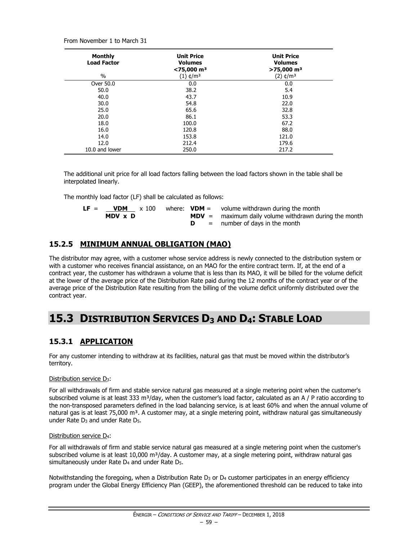From November 1 to March 31

| <b>Monthly</b><br><b>Load Factor</b> | <b>Unit Price</b><br><b>Volumes</b><br>$<$ 75,000 m <sup>3</sup> | <b>Unit Price</b><br><b>Volumes</b><br>$>75,000$ m <sup>3</sup> |
|--------------------------------------|------------------------------------------------------------------|-----------------------------------------------------------------|
| $\%$                                 | $(1)$ ¢/m <sup>3</sup>                                           | (2) ¢/mª                                                        |
| Over 50.0                            | 0.0                                                              | 0.0                                                             |
| 50.0                                 | 38.2                                                             | 5.4                                                             |
| 40.0                                 | 43.7                                                             | 10.9                                                            |
| 30.0                                 | 54.8                                                             | 22.0                                                            |
| 25.0                                 | 65.6                                                             | 32.8                                                            |
| 20.0                                 | 86.1                                                             | 53.3                                                            |
| 18.0                                 | 100.0                                                            | 67.2                                                            |
| 16.0                                 | 120.8                                                            | 88.0                                                            |
| 14.0                                 | 153.8                                                            | 121.0                                                           |
| 12.0                                 | 212.4                                                            | 179.6                                                           |
| 10.0 and lower                       | 250.0                                                            | 217.2                                                           |

The additional unit price for all load factors falling between the load factors shown in the table shall be interpolated linearly.

The monthly load factor (LF) shall be calculated as follows:

| $LF =$ | <b>VDM</b> | x 100 |  | where: $VDM =$ volume withdrawn during the month        |
|--------|------------|-------|--|---------------------------------------------------------|
|        | MDV x D    |       |  | $MDV =$ maximum daily volume withdrawn during the month |
|        |            |       |  | $=$ number of days in the month                         |

# **15.2.5 MINIMUM ANNUAL OBLIGATION (MAO)**

The distributor may agree, with a customer whose service address is newly connected to the distribution system or with a customer who receives financial assistance, on an MAO for the entire contract term. If, at the end of a contract year, the customer has withdrawn a volume that is less than its MAO, it will be billed for the volume deficit at the lower of the average price of the Distribution Rate paid during the 12 months of the contract year or of the average price of the Distribution Rate resulting from the billing of the volume deficit uniformly distributed over the contract year.

# **15.3 DISTRIBUTION SERVICES D<sup>3</sup> AND D4: STABLE LOAD**

# **15.3.1 APPLICATION**

For any customer intending to withdraw at its facilities, natural gas that must be moved within the distributor's territory.

### Distribution service D3:

For all withdrawals of firm and stable service natural gas measured at a single metering point when the customer's subscribed volume is at least 333 m<sup>3</sup>/day, when the customer's load factor, calculated as an A / P ratio according to the non-transposed parameters defined in the load balancing service, is at least 60% and when the annual volume of natural gas is at least 75,000 m<sup>3</sup>. A customer may, at a single metering point, withdraw natural gas simultaneously under Rate D<sup>3</sup> and under Rate D5.

### Distribution service D4:

For all withdrawals of firm and stable service natural gas measured at a single metering point when the customer's subscribed volume is at least 10,000 m<sup>3</sup>/day. A customer may, at a single metering point, withdraw natural gas simultaneously under Rate D<sup>4</sup> and under Rate D5.

Notwithstanding the foregoing, when a Distribution Rate  $D_3$  or  $D_4$  customer participates in an energy efficiency program under the Global Energy Efficiency Plan (GEEP), the aforementioned threshold can be reduced to take into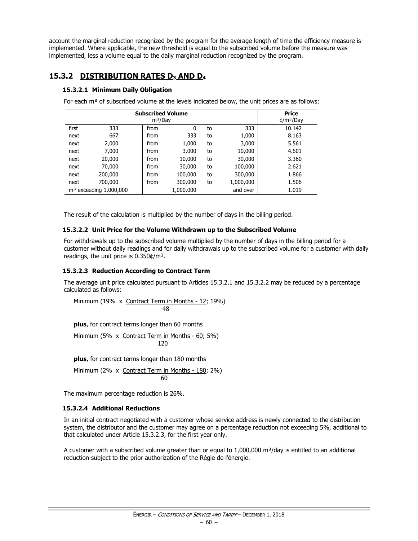account the marginal reduction recognized by the program for the average length of time the efficiency measure is implemented. Where applicable, the new threshold is equal to the subscribed volume before the measure was implemented, less a volume equal to the daily marginal reduction recognized by the program.

# **15.3.2 DISTRIBUTION RATES D<sup>3</sup> AND D<sup>4</sup>**

### **15.3.2.1 Minimum Daily Obligation**

For each  $m<sup>3</sup>$  of subscribed volume at the levels indicated below, the unit prices are as follows:

| <b>Subscribed Volume</b><br>m <sup>3</sup> /Day |                          |      |           |    |           | <b>Price</b><br>$\frac{m^3}{Day}$ |
|-------------------------------------------------|--------------------------|------|-----------|----|-----------|-----------------------------------|
| first                                           | 333                      | from | 0         | to | 333       | 10.142                            |
| next                                            | 667                      | from | 333       | to | 1,000     | 8.163                             |
| next                                            | 2,000                    | from | 1,000     | to | 3,000     | 5.561                             |
| next                                            | 7,000                    | from | 3,000     | to | 10,000    | 4.601                             |
| next                                            | 20,000                   | from | 10,000    | to | 30,000    | 3.360                             |
| next                                            | 70,000                   | from | 30,000    | to | 100,000   | 2.621                             |
| next                                            | 200,000                  | from | 100,000   | to | 300,000   | 1.866                             |
| next                                            | 700,000                  | from | 300,000   | to | 1,000,000 | 1.506                             |
|                                                 | $m3$ exceeding 1,000,000 |      | 1,000,000 |    | and over  | 1.019                             |

The result of the calculation is multiplied by the number of days in the billing period.

### **15.3.2.2 Unit Price for the Volume Withdrawn up to the Subscribed Volume**

For withdrawals up to the subscribed volume multiplied by the number of days in the billing period for a customer without daily readings and for daily withdrawals up to the subscribed volume for a customer with daily readings, the unit price is  $0.350 \frac{\text{d}}{\text{m}^3}$ .

### **15.3.2.3 Reduction According to Contract Term**

The average unit price calculated pursuant to Articles 15.3.2.1 and 15.3.2.2 may be reduced by a percentage calculated as follows:

Minimum (19% x Contract Term in Months - 12; 19%) 48

**plus**, for contract terms longer than 60 months

Minimum (5% x Contract Term in Months - 60; 5%) 120

**plus**, for contract terms longer than 180 months

Minimum (2% x Contract Term in Months - 180; 2%) 60

The maximum percentage reduction is 26%.

### **15.3.2.4 Additional Reductions**

In an initial contract negotiated with a customer whose service address is newly connected to the distribution system, the distributor and the customer may agree on a percentage reduction not exceeding 5%, additional to that calculated under Article 15.3.2.3, for the first year only.

A customer with a subscribed volume greater than or equal to  $1,000,000$  m<sup>3</sup>/day is entitled to an additional reduction subject to the prior authorization of the Régie de l'énergie.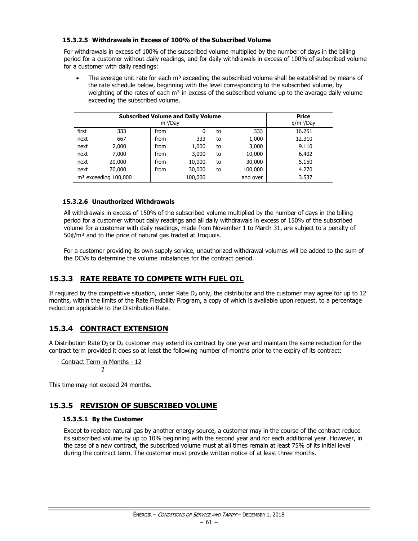### **15.3.2.5 Withdrawals in Excess of 100% of the Subscribed Volume**

For withdrawals in excess of 100% of the subscribed volume multiplied by the number of days in the billing period for a customer without daily readings, and for daily withdrawals in excess of 100% of subscribed volume for a customer with daily readings:

The average unit rate for each m<sup>3</sup> exceeding the subscribed volume shall be established by means of the rate schedule below, beginning with the level corresponding to the subscribed volume, by weighting of the rates of each  $m<sup>3</sup>$  in excess of the subscribed volume up to the average daily volume exceeding the subscribed volume.

| <b>Subscribed Volume and Daily Volume</b><br>m <sup>3</sup> /Day |                        |      |         |    |          | <b>Price</b><br>$\text{t/m}^3$ /Day |
|------------------------------------------------------------------|------------------------|------|---------|----|----------|-------------------------------------|
| first                                                            | 333                    | from | 0       | to | 333      | 16.251                              |
| next                                                             | 667                    | from | 333     | to | 1,000    | 12.310                              |
| next                                                             | 2,000                  | from | 1,000   | to | 3,000    | 9.110                               |
| next                                                             | 7,000                  | from | 3,000   | to | 10,000   | 6.402                               |
| next                                                             | 20,000                 | from | 10,000  | to | 30,000   | 5.150                               |
| next                                                             | 70,000                 | from | 30,000  | to | 100,000  | 4.270                               |
|                                                                  | $m3$ exceeding 100,000 |      | 100,000 |    | and over | 3.537                               |

### **15.3.2.6 Unauthorized Withdrawals**

All withdrawals in excess of 150% of the subscribed volume multiplied by the number of days in the billing period for a customer without daily readings and all daily withdrawals in excess of 150% of the subscribed volume for a customer with daily readings, made from November 1 to March 31, are subject to a penalty of 50¢/m³ and to the price of natural gas traded at Iroquois.

For a customer providing its own supply service, unauthorized withdrawal volumes will be added to the sum of the DCVs to determine the volume imbalances for the contract period.

# **15.3.3 RATE REBATE TO COMPETE WITH FUEL OIL**

If required by the competitive situation, under Rate  $D_3$  only, the distributor and the customer may agree for up to 12 months, within the limits of the Rate Flexibility Program, a copy of which is available upon request, to a percentage reduction applicable to the Distribution Rate.

# **15.3.4 CONTRACT EXTENSION**

A Distribution Rate D<sub>3</sub> or D<sub>4</sub> customer may extend its contract by one year and maintain the same reduction for the contract term provided it does so at least the following number of months prior to the expiry of its contract:

Contract Term in Months - 12  $\overline{2}$ 

This time may not exceed 24 months.

# **15.3.5 REVISION OF SUBSCRIBED VOLUME**

### **15.3.5.1 By the Customer**

Except to replace natural gas by another energy source, a customer may in the course of the contract reduce its subscribed volume by up to 10% beginning with the second year and for each additional year. However, in the case of a new contract, the subscribed volume must at all times remain at least 75% of its initial level during the contract term. The customer must provide written notice of at least three months.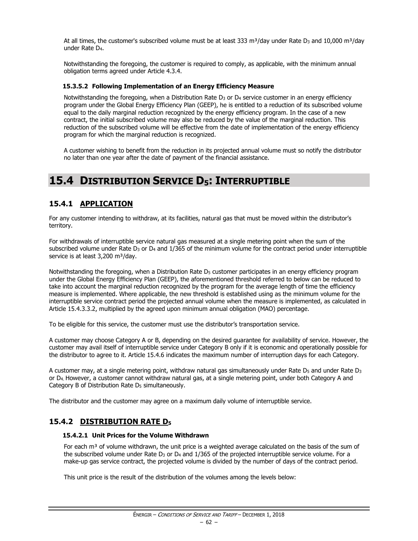At all times, the customer's subscribed volume must be at least 333 m<sup>3</sup>/day under Rate D<sub>3</sub> and 10,000 m<sup>3</sup>/day under Rate D4.

Notwithstanding the foregoing, the customer is required to comply, as applicable, with the minimum annual obligation terms agreed under Article 4.3.4.

### **15.3.5.2 Following Implementation of an Energy Efficiency Measure**

Notwithstanding the foregoing, when a Distribution Rate  $D_3$  or  $D_4$  service customer in an energy efficiency program under the Global Energy Efficiency Plan (GEEP), he is entitled to a reduction of its subscribed volume equal to the daily marginal reduction recognized by the energy efficiency program. In the case of a new contract, the initial subscribed volume may also be reduced by the value of the marginal reduction. This reduction of the subscribed volume will be effective from the date of implementation of the energy efficiency program for which the marginal reduction is recognized.

A customer wishing to benefit from the reduction in its projected annual volume must so notify the distributor no later than one year after the date of payment of the financial assistance.

# **15.4 DISTRIBUTION SERVICE D5: INTERRUPTIBLE**

# **15.4.1 APPLICATION**

For any customer intending to withdraw, at its facilities, natural gas that must be moved within the distributor's territory.

For withdrawals of interruptible service natural gas measured at a single metering point when the sum of the subscribed volume under Rate  $D_3$  or  $D_4$  and  $1/365$  of the minimum volume for the contract period under interruptible service is at least 3,200 m<sup>3</sup>/day.

Notwithstanding the foregoing, when a Distribution Rate  $D<sub>5</sub>$  customer participates in an energy efficiency program under the Global Energy Efficiency Plan (GEEP), the aforementioned threshold referred to below can be reduced to take into account the marginal reduction recognized by the program for the average length of time the efficiency measure is implemented. Where applicable, the new threshold is established using as the minimum volume for the interruptible service contract period the projected annual volume when the measure is implemented, as calculated in Article 15.4.3.3.2, multiplied by the agreed upon minimum annual obligation (MAO) percentage.

To be eligible for this service, the customer must use the distributor's transportation service.

A customer may choose Category A or B, depending on the desired guarantee for availability of service. However, the customer may avail itself of interruptible service under Category B only if it is economic and operationally possible for the distributor to agree to it. Article 15.4.6 indicates the maximum number of interruption days for each Category.

A customer may, at a single metering point, withdraw natural gas simultaneously under Rate D<sub>5</sub> and under Rate D<sub>3</sub> or D4. However, a customer cannot withdraw natural gas, at a single metering point, under both Category A and Category B of Distribution Rate  $D_5$  simultaneously.

The distributor and the customer may agree on a maximum daily volume of interruptible service.

# **15.4.2 DISTRIBUTION RATE D<sup>5</sup>**

### **15.4.2.1 Unit Prices for the Volume Withdrawn**

For each  $m<sup>3</sup>$  of volume withdrawn, the unit price is a weighted average calculated on the basis of the sum of the subscribed volume under Rate  $D_3$  or  $D_4$  and  $1/365$  of the projected interruptible service volume. For a make-up gas service contract, the projected volume is divided by the number of days of the contract period.

This unit price is the result of the distribution of the volumes among the levels below: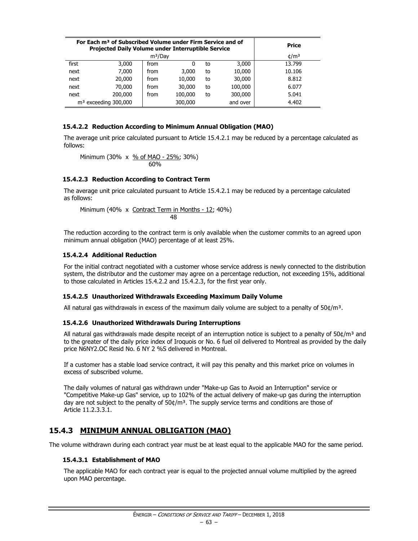| For Each m <sup>3</sup> of Subscribed Volume under Firm Service and of<br><b>Projected Daily Volume under Interruptible Service</b> |         |      |         |    |          | <b>Price</b>   |
|-------------------------------------------------------------------------------------------------------------------------------------|---------|------|---------|----|----------|----------------|
| m <sup>3</sup> /Day                                                                                                                 |         |      |         |    |          | $\text{t/m}^3$ |
| first                                                                                                                               | 3,000   | from | 0       | to | 3,000    | 13.799         |
| next                                                                                                                                | 7.000   | from | 3,000   | to | 10,000   | 10.106         |
| next                                                                                                                                | 20,000  | from | 10,000  | to | 30,000   | 8.812          |
| next                                                                                                                                | 70,000  | from | 30,000  | to | 100,000  | 6.077          |
| next                                                                                                                                | 200,000 | from | 100,000 | to | 300,000  | 5.041          |
| $m3$ exceeding 300,000                                                                                                              |         |      | 300,000 |    | and over | 4.402          |

### **15.4.2.2 Reduction According to Minimum Annual Obligation (MAO)**

The average unit price calculated pursuant to Article 15.4.2.1 may be reduced by a percentage calculated as follows:

Minimum (30% x 
$$
\frac{\% \text{ of MAO} - 25\%}{60\%}
$$
; 30%)

### **15.4.2.3 Reduction According to Contract Term**

The average unit price calculated pursuant to Article 15.4.2.1 may be reduced by a percentage calculated as follows:

Minimum (40% x Contract Term in Months - 12; 40%) 48

The reduction according to the contract term is only available when the customer commits to an agreed upon minimum annual obligation (MAO) percentage of at least 25%.

### **15.4.2.4 Additional Reduction**

For the initial contract negotiated with a customer whose service address is newly connected to the distribution system, the distributor and the customer may agree on a percentage reduction, not exceeding 15%, additional to those calculated in Articles 15.4.2.2 and 15.4.2.3, for the first year only.

### **15.4.2.5 Unauthorized Withdrawals Exceeding Maximum Daily Volume**

All natural gas withdrawals in excess of the maximum daily volume are subject to a penalty of  $50¢/m<sup>3</sup>$ .

### **15.4.2.6 Unauthorized Withdrawals During Interruptions**

All natural gas withdrawals made despite receipt of an interruption notice is subject to a penalty of  $50¢/m³$  and to the greater of the daily price index of Iroquois or No. 6 fuel oil delivered to Montreal as provided by the daily price N6NY2.OC Resid No. 6 NY 2 %S delivered in Montreal.

If a customer has a stable load service contract, it will pay this penalty and this market price on volumes in excess of subscribed volume.

The daily volumes of natural gas withdrawn under "Make-up Gas to Avoid an Interruption" service or "Competitive Make-up Gas" service, up to 102% of the actual delivery of make-up gas during the interruption day are not subject to the penalty of  $50¢/m³$ . The supply service terms and conditions are those of Article 11.2.3.3.1.

# **15.4.3 MINIMUM ANNUAL OBLIGATION (MAO)**

The volume withdrawn during each contract year must be at least equal to the applicable MAO for the same period.

### **15.4.3.1 Establishment of MAO**

The applicable MAO for each contract year is equal to the projected annual volume multiplied by the agreed upon MAO percentage.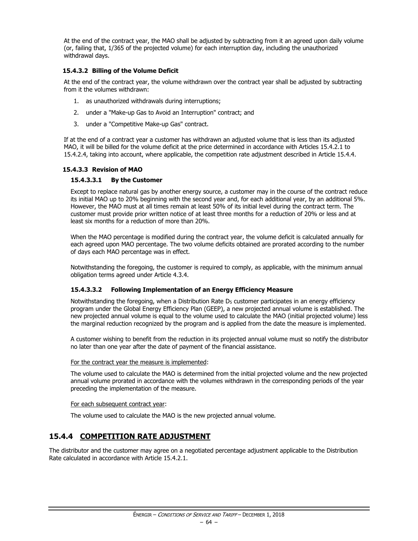At the end of the contract year, the MAO shall be adjusted by subtracting from it an agreed upon daily volume (or, failing that, 1/365 of the projected volume) for each interruption day, including the unauthorized withdrawal days.

### **15.4.3.2 Billing of the Volume Deficit**

At the end of the contract year, the volume withdrawn over the contract year shall be adjusted by subtracting from it the volumes withdrawn:

- 1. as unauthorized withdrawals during interruptions;
- 2. under a "Make-up Gas to Avoid an Interruption" contract; and
- 3. under a "Competitive Make-up Gas" contract.

If at the end of a contract year a customer has withdrawn an adjusted volume that is less than its adjusted MAO, it will be billed for the volume deficit at the price determined in accordance with Articles 15.4.2.1 to 15.4.2.4, taking into account, where applicable, the competition rate adjustment described in Article 15.4.4.

### **15.4.3.3 Revision of MAO**

### **15.4.3.3.1 By the Customer**

Except to replace natural gas by another energy source, a customer may in the course of the contract reduce its initial MAO up to 20% beginning with the second year and, for each additional year, by an additional 5%. However, the MAO must at all times remain at least 50% of its initial level during the contract term. The customer must provide prior written notice of at least three months for a reduction of 20% or less and at least six months for a reduction of more than 20%.

When the MAO percentage is modified during the contract year, the volume deficit is calculated annually for each agreed upon MAO percentage. The two volume deficits obtained are prorated according to the number of days each MAO percentage was in effect.

Notwithstanding the foregoing, the customer is required to comply, as applicable, with the minimum annual obligation terms agreed under Article 4.3.4.

### **15.4.3.3.2 Following Implementation of an Energy Efficiency Measure**

Notwithstanding the foregoing, when a Distribution Rate D<sub>5</sub> customer participates in an energy efficiency program under the Global Energy Efficiency Plan (GEEP), a new projected annual volume is established. The new projected annual volume is equal to the volume used to calculate the MAO (initial projected volume) less the marginal reduction recognized by the program and is applied from the date the measure is implemented.

A customer wishing to benefit from the reduction in its projected annual volume must so notify the distributor no later than one year after the date of payment of the financial assistance.

### For the contract year the measure is implemented:

The volume used to calculate the MAO is determined from the initial projected volume and the new projected annual volume prorated in accordance with the volumes withdrawn in the corresponding periods of the year preceding the implementation of the measure.

### For each subsequent contract year:

The volume used to calculate the MAO is the new projected annual volume.

# **15.4.4 COMPETITION RATE ADJUSTMENT**

The distributor and the customer may agree on a negotiated percentage adjustment applicable to the Distribution Rate calculated in accordance with Article 15.4.2.1.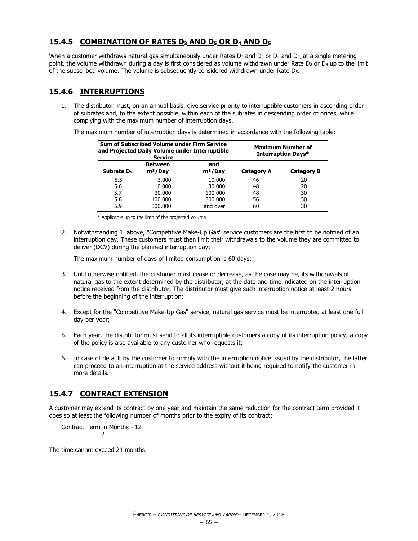# **15.4.5 COMBINATION OF RATES D<sup>3</sup> AND D<sup>5</sup> OR D<sup>4</sup> AND D<sup>5</sup>**

When a customer withdraws natural gas simultaneously under Rates  $D_3$  and  $D_5$  or  $D_4$  and  $D_5$ , at a single metering point, the volume withdrawn during a day is first considered as volume withdrawn under Rate  $D_3$  or  $D_4$  up to the limit of the subscribed volume. The volume is subsequently considered withdrawn under Rate D5.

# **15.4.6 INTERRUPTIONS**

1. The distributor must, on an annual basis, give service priority to interruptible customers in ascending order of subrates and, to the extent possible, within each of the subrates in descending order of prices, while complying with the maximum number of interruption days.

The maximum number of interruption days is determined in accordance with the following table:

|                        | Sum of Subscribed Volume under Firm Service<br>and Projected Daily Volume under Interruptible<br><b>Service</b> | <b>Maximum Number of</b><br>Interruption Days* |                   |                   |
|------------------------|-----------------------------------------------------------------------------------------------------------------|------------------------------------------------|-------------------|-------------------|
| Subrate D <sub>5</sub> | <b>Between</b><br>$m3/$ Day                                                                                     | and<br>$m3/$ Day                               | <b>Category A</b> | <b>Category B</b> |
| 5.5                    | 3,000                                                                                                           | 10,000                                         | 46                | 20                |
| 5.6                    | 10,000                                                                                                          | 30,000                                         | 48                | 20                |
| 5.7                    | 30,000                                                                                                          | 100,000                                        | 48                | 30                |
| 5.8                    | 100,000                                                                                                         | 300,000                                        | 56                | 30                |
| 5.9                    | 300,000                                                                                                         | and over                                       | 60                | 30                |

\* Applicable up to the limit of the projected volume

2. Notwithstanding 1. above, "Competitive Make-Up Gas" service customers are the first to be notified of an interruption day. These customers must then limit their withdrawals to the volume they are committed to deliver (DCV) during the planned interruption day;

The maximum number of days of limited consumption is 60 days;

- 3. Until otherwise notified, the customer must cease or decrease, as the case may be, its withdrawals of natural gas to the extent determined by the distributor, at the date and time indicated on the interruption notice received from the distributor. The distributor must give such interruption notice at least 2 hours before the beginning of the interruption;
- 4. Except for the "Competitive Make-Up Gas" service, natural gas service must be interrupted at least one full day per year;
- 5. Each year, the distributor must send to all its interruptible customers a copy of its interruption policy; a copy of the policy is also available to any customer who requests it;
- 6. In case of default by the customer to comply with the interruption notice issued by the distributor, the latter can proceed to an interruption at the service address without it being required to notify the customer in more details.

# **15.4.7 CONTRACT EXTENSION**

A customer may extend its contract by one year and maintain the same reduction for the contract term provided it does so at least the following number of months prior to the expiry of its contract:

Contract Term in Months - 12 2

The time cannot exceed 24 months.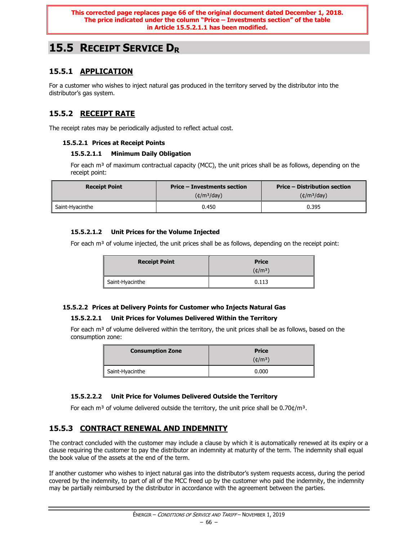# **15.5 RECEIPT SERVICE D<sup>R</sup>**

# **15.5.1 APPLICATION**

For a customer who wishes to inject natural gas produced in the territory served by the distributor into the distributor's gas system.

# **15.5.2 RECEIPT RATE**

The receipt rates may be periodically adjusted to reflect actual cost.

### **15.5.2.1 Prices at Receipt Points**

### **15.5.2.1.1 Minimum Daily Obligation**

For each  $m<sup>3</sup>$  of maximum contractual capacity (MCC), the unit prices shall be as follows, depending on the receipt point:

| <b>Receipt Point</b> | Price – Investments section | <b>Price – Distribution section</b> |  |
|----------------------|-----------------------------|-------------------------------------|--|
|                      | $(\text{t/m}^3/\text{day})$ | $(\text{t/m}^3/\text{day})$         |  |
| Saint-Hvacinthe      | 0.450                       | 0.395                               |  |

### **15.5.2.1.2 Unit Prices for the Volume Injected**

For each  $m<sup>3</sup>$  of volume injected, the unit prices shall be as follows, depending on the receipt point:

| <b>Receipt Point</b> | <b>Price</b><br>$(\phi/m^3)$ |
|----------------------|------------------------------|
| Saint-Hyacinthe      | 0.113                        |

### **15.5.2.2 Prices at Delivery Points for Customer who Injects Natural Gas**

### **15.5.2.2.1 Unit Prices for Volumes Delivered Within the Territory**

For each  $m<sup>3</sup>$  of volume delivered within the territory, the unit prices shall be as follows, based on the consumption zone:

| <b>Consumption Zone</b> | <b>Price</b>     |  |  |
|-------------------------|------------------|--|--|
|                         | $(\text{t/m}^3)$ |  |  |
| Saint-Hyacinthe         | 0.000            |  |  |

### **15.5.2.2.2 Unit Price for Volumes Delivered Outside the Territory**

For each m<sup>3</sup> of volume delivered outside the territory, the unit price shall be  $0.70 \frac{\epsilon}{m^3}$ .

# **15.5.3 CONTRACT RENEWAL AND INDEMNITY**

The contract concluded with the customer may include a clause by which it is automatically renewed at its expiry or a clause requiring the customer to pay the distributor an indemnity at maturity of the term. The indemnity shall equal the book value of the assets at the end of the term.

If another customer who wishes to inject natural gas into the distributor's system requests access, during the period covered by the indemnity, to part of all of the MCC freed up by the customer who paid the indemnity, the indemnity may be partially reimbursed by the distributor in accordance with the agreement between the parties.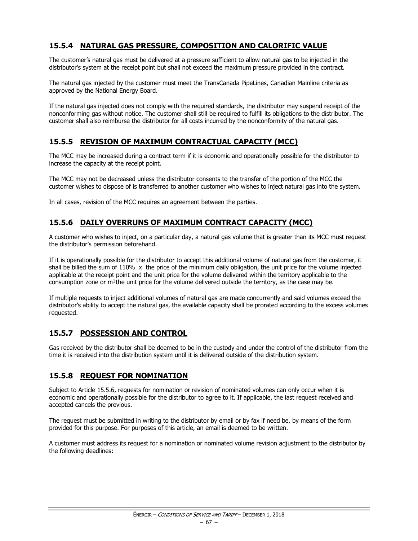# **15.5.4 NATURAL GAS PRESSURE, COMPOSITION AND CALORIFIC VALUE**

The customer's natural gas must be delivered at a pressure sufficient to allow natural gas to be injected in the distributor's system at the receipt point but shall not exceed the maximum pressure provided in the contract.

The natural gas injected by the customer must meet the TransCanada PipeLines, Canadian Mainline criteria as approved by the National Energy Board.

If the natural gas injected does not comply with the required standards, the distributor may suspend receipt of the nonconforming gas without notice. The customer shall still be required to fulfill its obligations to the distributor. The customer shall also reimburse the distributor for all costs incurred by the nonconformity of the natural gas.

# **15.5.5 REVISION OF MAXIMUM CONTRACTUAL CAPACITY (MCC)**

The MCC may be increased during a contract term if it is economic and operationally possible for the distributor to increase the capacity at the receipt point.

The MCC may not be decreased unless the distributor consents to the transfer of the portion of the MCC the customer wishes to dispose of is transferred to another customer who wishes to inject natural gas into the system.

In all cases, revision of the MCC requires an agreement between the parties.

# **15.5.6 DAILY OVERRUNS OF MAXIMUM CONTRACT CAPACITY (MCC)**

A customer who wishes to inject, on a particular day, a natural gas volume that is greater than its MCC must request the distributor's permission beforehand.

If it is operationally possible for the distributor to accept this additional volume of natural gas from the customer, it shall be billed the sum of 110%  $\times$  the price of the minimum daily obligation, the unit price for the volume injected applicable at the receipt point and the unit price for the volume delivered within the territory applicable to the consumption zone or m<sup>3</sup>the unit price for the volume delivered outside the territory, as the case may be.

If multiple requests to inject additional volumes of natural gas are made concurrently and said volumes exceed the distributor's ability to accept the natural gas, the available capacity shall be prorated according to the excess volumes requested.

# **15.5.7 POSSESSION AND CONTROL**

Gas received by the distributor shall be deemed to be in the custody and under the control of the distributor from the time it is received into the distribution system until it is delivered outside of the distribution system.

# **15.5.8 REQUEST FOR NOMINATION**

Subject to Article 15.5.6, requests for nomination or revision of nominated volumes can only occur when it is economic and operationally possible for the distributor to agree to it. If applicable, the last request received and accepted cancels the previous.

The request must be submitted in writing to the distributor by email or by fax if need be, by means of the form provided for this purpose. For purposes of this article, an email is deemed to be written.

A customer must address its request for a nomination or nominated volume revision adjustment to the distributor by the following deadlines: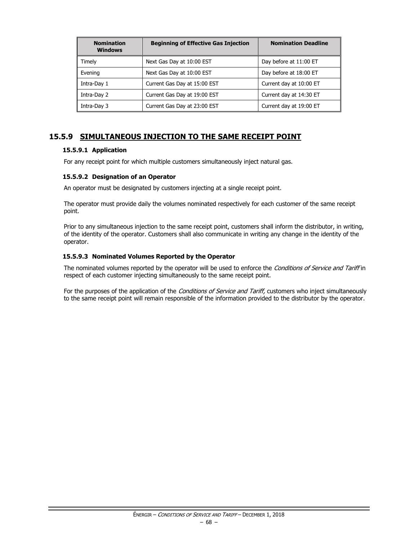| <b>Beginning of Effective Gas Injection</b><br><b>Nomination</b><br><b>Windows</b> |                              | <b>Nomination Deadline</b> |
|------------------------------------------------------------------------------------|------------------------------|----------------------------|
| Timely                                                                             | Next Gas Day at 10:00 EST    | Day before at 11:00 ET     |
| Evening                                                                            | Next Gas Day at 10:00 EST    | Day before at 18:00 ET     |
| Intra-Day 1                                                                        | Current Gas Day at 15:00 EST | Current day at 10:00 ET    |
| Intra-Day 2                                                                        | Current Gas Day at 19:00 EST | Current day at 14:30 ET    |
| Intra-Day 3                                                                        | Current Gas Day at 23:00 EST | Current day at 19:00 ET    |

# **15.5.9 SIMULTANEOUS INJECTION TO THE SAME RECEIPT POINT**

### **15.5.9.1 Application**

For any receipt point for which multiple customers simultaneously inject natural gas.

### **15.5.9.2 Designation of an Operator**

An operator must be designated by customers injecting at a single receipt point.

The operator must provide daily the volumes nominated respectively for each customer of the same receipt point.

Prior to any simultaneous injection to the same receipt point, customers shall inform the distributor, in writing, of the identity of the operator. Customers shall also communicate in writing any change in the identity of the operator.

### **15.5.9.3 Nominated Volumes Reported by the Operator**

The nominated volumes reported by the operator will be used to enforce the Conditions of Service and Tariff in respect of each customer injecting simultaneously to the same receipt point.

For the purposes of the application of the Conditions of Service and Tariff, customers who inject simultaneously to the same receipt point will remain responsible of the information provided to the distributor by the operator.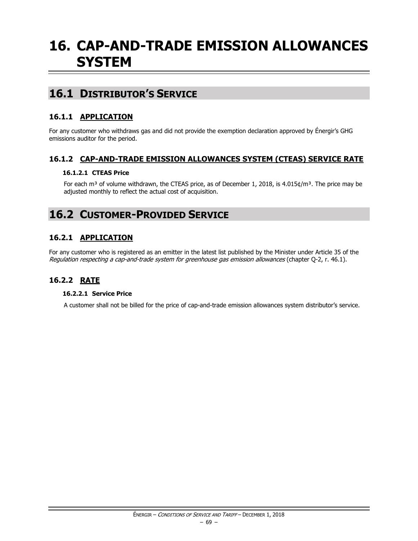# **16. CAP-AND-TRADE EMISSION ALLOWANCES SYSTEM**

# **16.1 DISTRIBUTOR'S SERVICE**

# **16.1.1 APPLICATION**

For any customer who withdraws gas and did not provide the exemption declaration approved by Énergir's GHG emissions auditor for the period.

### **16.1.2 CAP-AND-TRADE EMISSION ALLOWANCES SYSTEM (CTEAS) SERVICE RATE**

### **16.1.2.1 CTEAS Price**

For each m<sup>3</sup> of volume withdrawn, the CTEAS price, as of December 1, 2018, is 4.015¢/m<sup>3</sup>. The price may be adjusted monthly to reflect the actual cost of acquisition.

# **16.2 CUSTOMER-PROVIDED SERVICE**

# **16.2.1 APPLICATION**

For any customer who is registered as an emitter in the latest list published by the Minister under Article 35 of the Regulation respecting a cap-and-trade system for greenhouse gas emission allowances (chapter Q-2, r. 46.1).

# **16.2.2 RATE**

### **16.2.2.1 Service Price**

A customer shall not be billed for the price of cap-and-trade emission allowances system distributor's service.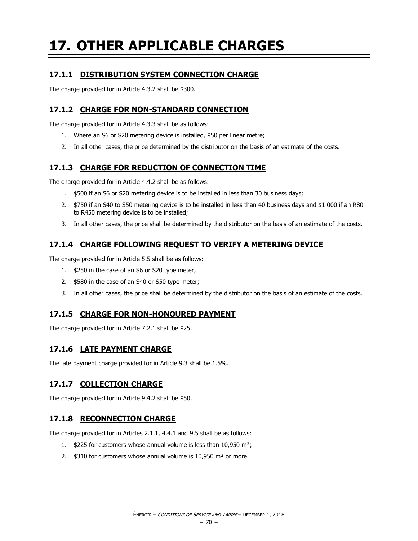# **17. OTHER APPLICABLE CHARGES**

# **17.1.1 DISTRIBUTION SYSTEM CONNECTION CHARGE**

The charge provided for in Article 4.3.2 shall be \$300.

### **17.1.2 CHARGE FOR NON-STANDARD CONNECTION**

The charge provided for in Article 4.3.3 shall be as follows:

- 1. Where an S6 or S20 metering device is installed, \$50 per linear metre;
- 2. In all other cases, the price determined by the distributor on the basis of an estimate of the costs.

# **17.1.3 CHARGE FOR REDUCTION OF CONNECTION TIME**

The charge provided for in Article 4.4.2 shall be as follows:

- 1. \$500 if an S6 or S20 metering device is to be installed in less than 30 business days;
- 2. \$750 if an S40 to S50 metering device is to be installed in less than 40 business days and \$1 000 if an R80 to R450 metering device is to be installed;
- 3. In all other cases, the price shall be determined by the distributor on the basis of an estimate of the costs.

# **17.1.4 CHARGE FOLLOWING REQUEST TO VERIFY A METERING DEVICE**

The charge provided for in Article 5.5 shall be as follows:

- 1. \$250 in the case of an S6 or S20 type meter;
- 2. \$580 in the case of an S40 or S50 type meter;
- 3. In all other cases, the price shall be determined by the distributor on the basis of an estimate of the costs.

# **17.1.5 CHARGE FOR NON-HONOURED PAYMENT**

The charge provided for in Article 7.2.1 shall be \$25.

# **17.1.6 LATE PAYMENT CHARGE**

The late payment charge provided for in Article 9.3 shall be 1.5%.

# **17.1.7 COLLECTION CHARGE**

The charge provided for in Article 9.4.2 shall be \$50.

# **17.1.8 RECONNECTION CHARGE**

The charge provided for in Articles 2.1.1, 4.4.1 and 9.5 shall be as follows:

- 1. \$225 for customers whose annual volume is less than 10,950 m<sup>3</sup>;
- 2.  $$310$  for customers whose annual volume is 10,950 m<sup>3</sup> or more.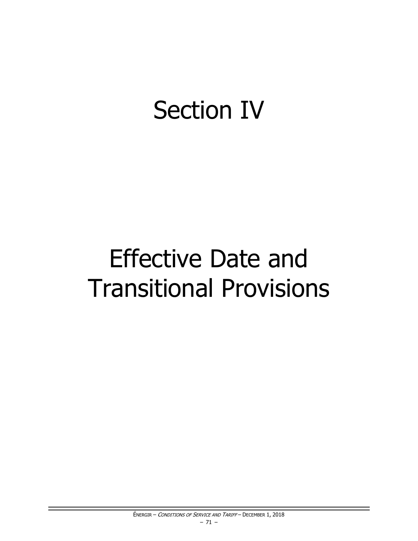# **Section IV**

# **Effective Date and Transitional Provisions**